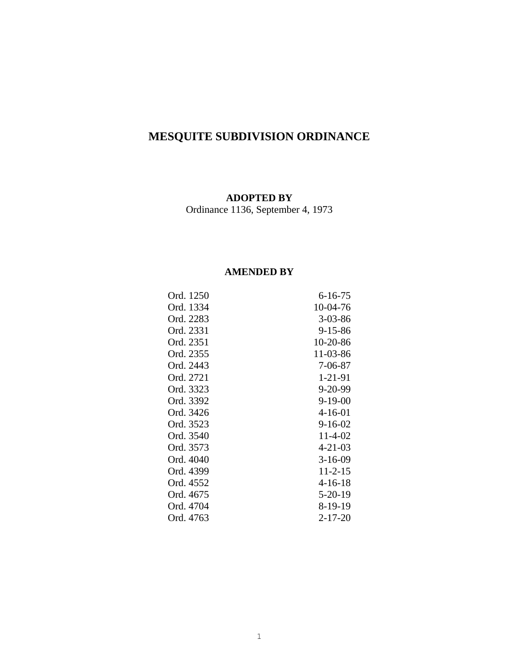# **MESQUITE SUBDIVISION ORDINANCE**

# **ADOPTED BY**

Ordinance 1136, September 4, 1973

# **AMENDED BY**

| Ord. 1250 | $6 - 16 - 75$ |
|-----------|---------------|
| Ord. 1334 | 10-04-76      |
| Ord. 2283 | $3 - 03 - 86$ |
| Ord. 2331 | 9-15-86       |
| Ord. 2351 | 10-20-86      |
| Ord. 2355 | 11-03-86      |
| Ord. 2443 | $7 - 06 - 87$ |
| Ord. 2721 | 1-21-91       |
| Ord. 3323 | 9-20-99       |
| Ord. 3392 | $9 - 19 - 00$ |
| Ord. 3426 | $4 - 16 - 01$ |
| Ord. 3523 | $9 - 16 - 02$ |
| Ord. 3540 | 11-4-02       |
| Ord. 3573 | $4 - 21 - 03$ |
| Ord. 4040 | $3-16-09$     |
| Ord. 4399 | $11 - 2 - 15$ |
| Ord. 4552 | 4-16-18       |
| Ord. 4675 | $5-20-19$     |
| Ord. 4704 | 8-19-19       |
| Ord. 4763 | $2 - 17 - 20$ |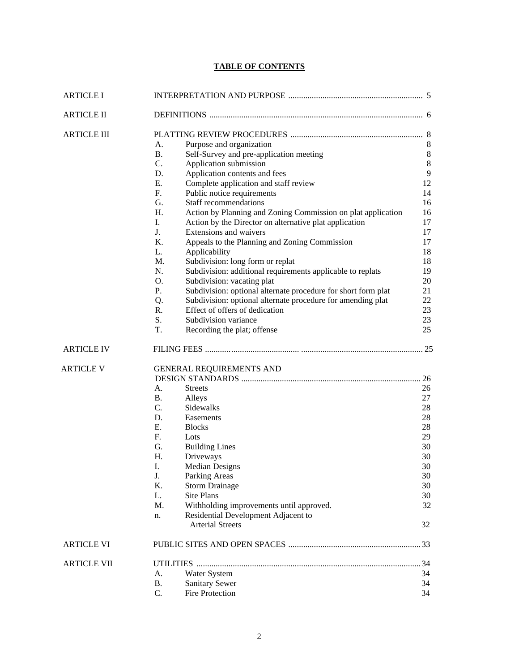# **TABLE OF CONTENTS**

| <b>ARTICLE I</b>   |                                                                                                                                                                                                                                                                                                                                                                                                                                                                                                                                                                                                                                                                                                                                                                                                                                                                                                                                                     |                                                                                                                                           |
|--------------------|-----------------------------------------------------------------------------------------------------------------------------------------------------------------------------------------------------------------------------------------------------------------------------------------------------------------------------------------------------------------------------------------------------------------------------------------------------------------------------------------------------------------------------------------------------------------------------------------------------------------------------------------------------------------------------------------------------------------------------------------------------------------------------------------------------------------------------------------------------------------------------------------------------------------------------------------------------|-------------------------------------------------------------------------------------------------------------------------------------------|
| <b>ARTICLE II</b>  |                                                                                                                                                                                                                                                                                                                                                                                                                                                                                                                                                                                                                                                                                                                                                                                                                                                                                                                                                     |                                                                                                                                           |
| <b>ARTICLE III</b> | A.<br>Purpose and organization<br><b>B.</b><br>Self-Survey and pre-application meeting<br>C.<br>Application submission<br>D.<br>Application contents and fees<br>Ε.<br>Complete application and staff review<br>F.<br>Public notice requirements<br>G.<br><b>Staff recommendations</b><br>H.<br>Action by Planning and Zoning Commission on plat application<br>I.<br>Action by the Director on alternative plat application<br>J.<br>Extensions and waivers<br>K.<br>Appeals to the Planning and Zoning Commission<br>L.<br>Applicability<br>M.<br>Subdivision: long form or replat<br>N.<br>Subdivision: additional requirements applicable to replats<br>O.<br>Subdivision: vacating plat<br>P.<br>Subdivision: optional alternate procedure for short form plat<br>Subdivision: optional alternate procedure for amending plat<br>Q.<br>Effect of offers of dedication<br>R.<br>S.<br>Subdivision variance<br>T.<br>Recording the plat; offense | 8<br>$\,8\,$<br>$\,8\,$<br>$\overline{9}$<br>12<br>14<br>16<br>16<br>17<br>17<br>17<br>18<br>18<br>19<br>20<br>21<br>22<br>23<br>23<br>25 |
| <b>ARTICLE IV</b>  |                                                                                                                                                                                                                                                                                                                                                                                                                                                                                                                                                                                                                                                                                                                                                                                                                                                                                                                                                     |                                                                                                                                           |
| <b>ARTICLE V</b>   | GENERAL REQUIREMENTS AND<br>А.<br><b>Streets</b><br><b>B.</b><br>Alleys<br>$C_{\cdot}$<br>Sidewalks<br>D.<br>Easements<br>E.<br><b>Blocks</b><br>$F_{\cdot}$<br>Lots<br>G.<br><b>Building Lines</b><br>H.<br>Driveways<br>I.<br>Median Designs<br>J.<br>Parking Areas<br>K.<br><b>Storm Drainage</b><br>L.<br>Site Plans<br>M.<br>Withholding improvements until approved.<br>Residential Development Adjacent to<br>n.<br><b>Arterial Streets</b>                                                                                                                                                                                                                                                                                                                                                                                                                                                                                                  | 26<br>27<br>28<br>28<br>28<br>29<br>30<br>30<br>30<br>30<br>30<br>30<br>32<br>32                                                          |
| <b>ARTICLE VI</b>  |                                                                                                                                                                                                                                                                                                                                                                                                                                                                                                                                                                                                                                                                                                                                                                                                                                                                                                                                                     |                                                                                                                                           |
| <b>ARTICLE VII</b> | UTILITIES …………………………………………………………………………………………<br>Water System<br>А.<br><b>Sanitary Sewer</b><br><b>B.</b><br>C.<br><b>Fire Protection</b>                                                                                                                                                                                                                                                                                                                                                                                                                                                                                                                                                                                                                                                                                                                                                                                                            | . 34<br>34<br>34<br>34                                                                                                                    |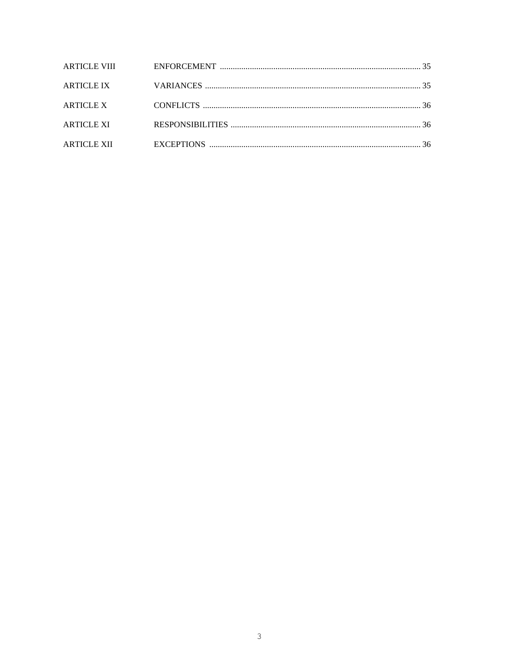| ARTICLE XI |  |
|------------|--|
|            |  |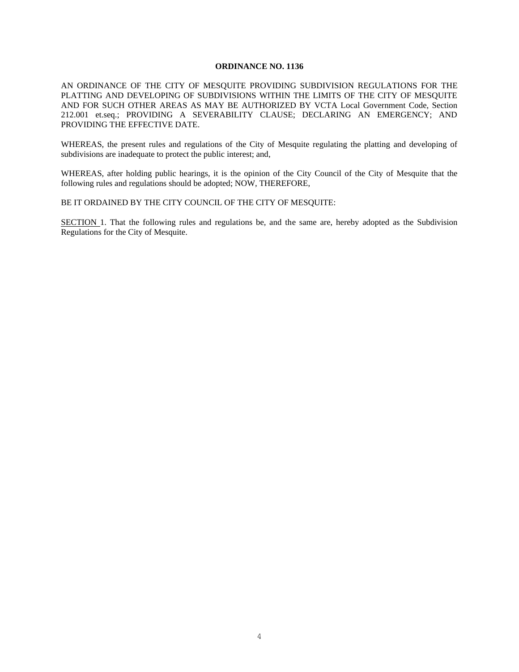#### **ORDINANCE NO. 1136**

AN ORDINANCE OF THE CITY OF MESQUITE PROVIDING SUBDIVISION REGULATIONS FOR THE PLATTING AND DEVELOPING OF SUBDIVISIONS WITHIN THE LIMITS OF THE CITY OF MESOUITE AND FOR SUCH OTHER AREAS AS MAY BE AUTHORIZED BY VCTA Local Government Code, Section 212.001 et.seq.; PROVIDING A SEVERABILITY CLAUSE; DECLARING AN EMERGENCY; AND PROVIDING THE EFFECTIVE DATE.

WHEREAS, the present rules and regulations of the City of Mesquite regulating the platting and developing of subdivisions are inadequate to protect the public interest; and,

WHEREAS, after holding public hearings, it is the opinion of the City Council of the City of Mesquite that the following rules and regulations should be adopted; NOW, THEREFORE,

#### BE IT ORDAINED BY THE CITY COUNCIL OF THE CITY OF MESQUITE:

SECTION 1. That the following rules and regulations be, and the same are, hereby adopted as the Subdivision Regulations for the City of Mesquite.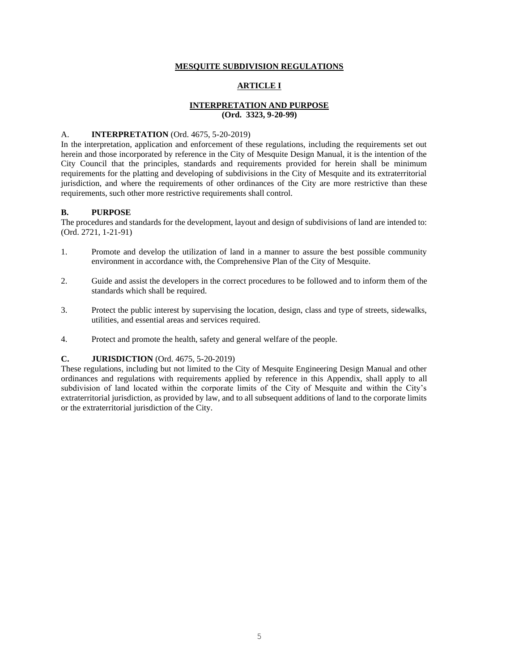#### **MESQUITE SUBDIVISION REGULATIONS**

# **ARTICLE I**

# **INTERPRETATION AND PURPOSE (Ord. 3323, 9-20-99)**

#### A. **INTERPRETATION** (Ord. 4675, 5-20-2019)

In the interpretation, application and enforcement of these regulations, including the requirements set out herein and those incorporated by reference in the City of Mesquite Design Manual, it is the intention of the City Council that the principles, standards and requirements provided for herein shall be minimum requirements for the platting and developing of subdivisions in the City of Mesquite and its extraterritorial jurisdiction, and where the requirements of other ordinances of the City are more restrictive than these requirements, such other more restrictive requirements shall control.

# **B. PURPOSE**

The procedures and standards for the development, layout and design of subdivisions of land are intended to: (Ord. 2721, 1-21-91)

- 1. Promote and develop the utilization of land in a manner to assure the best possible community environment in accordance with, the Comprehensive Plan of the City of Mesquite.
- 2. Guide and assist the developers in the correct procedures to be followed and to inform them of the standards which shall be required.
- 3. Protect the public interest by supervising the location, design, class and type of streets, sidewalks, utilities, and essential areas and services required.
- 4. Protect and promote the health, safety and general welfare of the people.

#### **C. JURISDICTION** (Ord. 4675, 5-20-2019)

These regulations, including but not limited to the City of Mesquite Engineering Design Manual and other ordinances and regulations with requirements applied by reference in this Appendix, shall apply to all subdivision of land located within the corporate limits of the City of Mesquite and within the City's extraterritorial jurisdiction, as provided by law, and to all subsequent additions of land to the corporate limits or the extraterritorial jurisdiction of the City.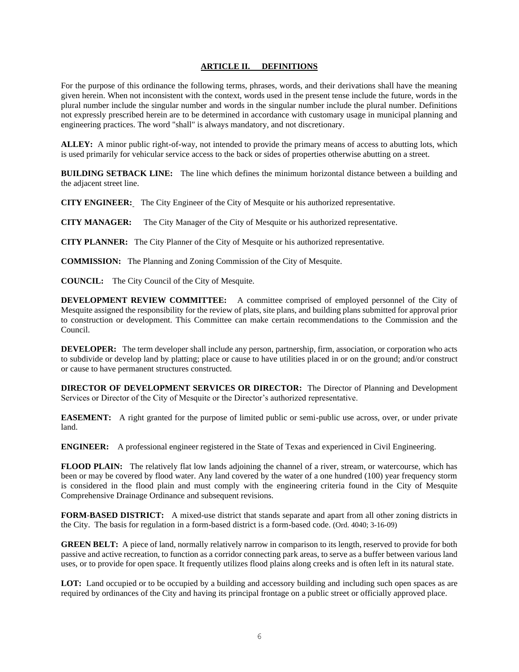#### **ARTICLE II. DEFINITIONS**

For the purpose of this ordinance the following terms, phrases, words, and their derivations shall have the meaning given herein. When not inconsistent with the context, words used in the present tense include the future, words in the plural number include the singular number and words in the singular number include the plural number. Definitions not expressly prescribed herein are to be determined in accordance with customary usage in municipal planning and engineering practices. The word "shall" is always mandatory, and not discretionary.

**ALLEY:** A minor public right-of-way, not intended to provide the primary means of access to abutting lots, which is used primarily for vehicular service access to the back or sides of properties otherwise abutting on a street.

**BUILDING SETBACK LINE:** The line which defines the minimum horizontal distance between a building and the adjacent street line.

**CITY ENGINEER:** The City Engineer of the City of Mesquite or his authorized representative.

**CITY MANAGER:** The City Manager of the City of Mesquite or his authorized representative.

**CITY PLANNER:** The City Planner of the City of Mesquite or his authorized representative.

**COMMISSION:** The Planning and Zoning Commission of the City of Mesquite.

**COUNCIL:** The City Council of the City of Mesquite.

**DEVELOPMENT REVIEW COMMITTEE:** A committee comprised of employed personnel of the City of Mesquite assigned the responsibility for the review of plats, site plans, and building plans submitted for approval prior to construction or development. This Committee can make certain recommendations to the Commission and the Council.

**DEVELOPER:** The term developer shall include any person, partnership, firm, association, or corporation who acts to subdivide or develop land by platting; place or cause to have utilities placed in or on the ground; and/or construct or cause to have permanent structures constructed.

**DIRECTOR OF DEVELOPMENT SERVICES OR DIRECTOR:** The Director of Planning and Development Services or Director of the City of Mesquite or the Director's authorized representative.

**EASEMENT:** A right granted for the purpose of limited public or semi-public use across, over, or under private land.

**ENGINEER:** A professional engineer registered in the State of Texas and experienced in Civil Engineering.

**FLOOD PLAIN:** The relatively flat low lands adjoining the channel of a river, stream, or watercourse, which has been or may be covered by flood water. Any land covered by the water of a one hundred (100) year frequency storm is considered in the flood plain and must comply with the engineering criteria found in the City of Mesquite Comprehensive Drainage Ordinance and subsequent revisions.

**FORM-BASED DISTRICT:** A mixed-use district that stands separate and apart from all other zoning districts in the City. The basis for regulation in a form-based district is a form-based code. (Ord. 4040; 3-16-09)

**GREEN BELT:** A piece of land, normally relatively narrow in comparison to its length, reserved to provide for both passive and active recreation, to function as a corridor connecting park areas, to serve as a buffer between various land uses, or to provide for open space. It frequently utilizes flood plains along creeks and is often left in its natural state.

**LOT:** Land occupied or to be occupied by a building and accessory building and including such open spaces as are required by ordinances of the City and having its principal frontage on a public street or officially approved place.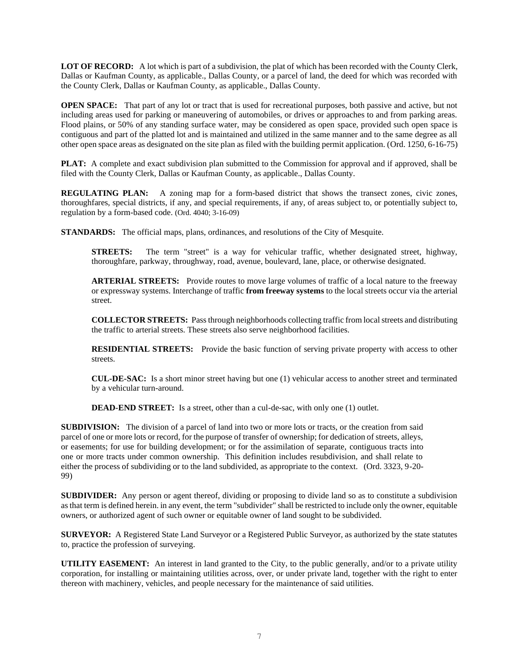**LOT OF RECORD:** A lot which is part of a subdivision, the plat of which has been recorded with the County Clerk, Dallas or Kaufman County, as applicable., Dallas County, or a parcel of land, the deed for which was recorded with the County Clerk, Dallas or Kaufman County, as applicable., Dallas County.

**OPEN SPACE:** That part of any lot or tract that is used for recreational purposes, both passive and active, but not including areas used for parking or maneuvering of automobiles, or drives or approaches to and from parking areas. Flood plains, or 50% of any standing surface water, may be considered as open space, provided such open space is contiguous and part of the platted lot and is maintained and utilized in the same manner and to the same degree as all other open space areas as designated on the site plan as filed with the building permit application. (Ord. 1250, 6-16-75)

**PLAT:** A complete and exact subdivision plan submitted to the Commission for approval and if approved, shall be filed with the County Clerk, Dallas or Kaufman County, as applicable., Dallas County.

**REGULATING PLAN:** A zoning map for a form-based district that shows the transect zones, civic zones, thoroughfares, special districts, if any, and special requirements, if any, of areas subject to, or potentially subject to, regulation by a form-based code. (Ord. 4040; 3-16-09)

**STANDARDS:** The official maps, plans, ordinances, and resolutions of the City of Mesquite.

**STREETS:** The term "street" is a way for vehicular traffic, whether designated street, highway, thoroughfare, parkway, throughway, road, avenue, boulevard, lane, place, or otherwise designated.

**ARTERIAL STREETS:** Provide routes to move large volumes of traffic of a local nature to the freeway or expressway systems. Interchange of traffic **from freeway systems** to the local streets occur via the arterial street.

**COLLECTOR STREETS:** Pass through neighborhoods collecting traffic from local streets and distributing the traffic to arterial streets. These streets also serve neighborhood facilities.

**RESIDENTIAL STREETS:** Provide the basic function of serving private property with access to other streets.

**CUL-DE-SAC:** Is a short minor street having but one (1) vehicular access to another street and terminated by a vehicular turn-around.

**DEAD-END STREET:** Is a street, other than a cul-de-sac, with only one (1) outlet.

**SUBDIVISION:** The division of a parcel of land into two or more lots or tracts, or the creation from said parcel of one or more lots or record, for the purpose of transfer of ownership; for dedication of streets, alleys, or easements; for use for building development; or for the assimilation of separate, contiguous tracts into one or more tracts under common ownership. This definition includes resubdivision, and shall relate to either the process of subdividing or to the land subdivided, as appropriate to the context. (Ord. 3323, 9-20- 99)

**SUBDIVIDER:** Any person or agent thereof, dividing or proposing to divide land so as to constitute a subdivision as that term is defined herein. in any event, the term "subdivider" shall be restricted to include only the owner, equitable owners, or authorized agent of such owner or equitable owner of land sought to be subdivided.

**SURVEYOR:** A Registered State Land Surveyor or a Registered Public Surveyor, as authorized by the state statutes to, practice the profession of surveying.

**UTILITY EASEMENT:** An interest in land granted to the City, to the public generally, and/or to a private utility corporation, for installing or maintaining utilities across, over, or under private land, together with the right to enter thereon with machinery, vehicles, and people necessary for the maintenance of said utilities.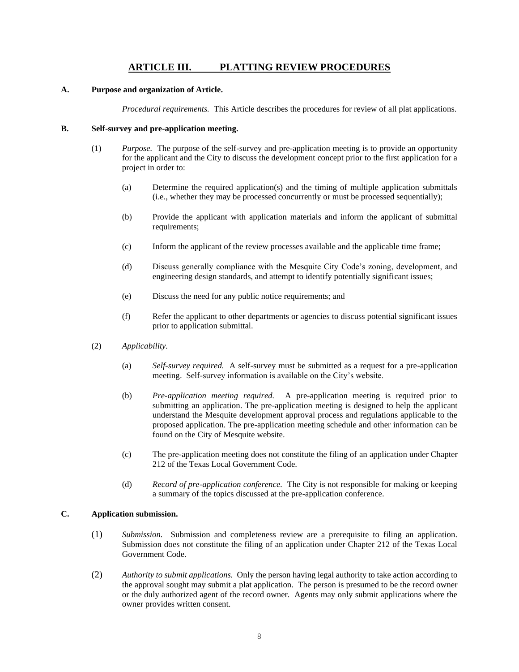# **ARTICLE III. PLATTING REVIEW PROCEDURES**

#### **A. Purpose and organization of Article.**

*Procedural requirements.* This Article describes the procedures for review of all plat applications.

#### **B. Self-survey and pre-application meeting.**

- (1) *Purpose.* The purpose of the self-survey and pre-application meeting is to provide an opportunity for the applicant and the City to discuss the development concept prior to the first application for a project in order to:
	- (a) Determine the required application(s) and the timing of multiple application submittals (i.e., whether they may be processed concurrently or must be processed sequentially);
	- (b) Provide the applicant with application materials and inform the applicant of submittal requirements;
	- (c) Inform the applicant of the review processes available and the applicable time frame;
	- (d) Discuss generally compliance with the Mesquite City Code's zoning, development, and engineering design standards, and attempt to identify potentially significant issues;
	- (e) Discuss the need for any public notice requirements; and
	- (f) Refer the applicant to other departments or agencies to discuss potential significant issues prior to application submittal.
- (2) *Applicability.*
	- (a) *Self-survey required.* A self-survey must be submitted as a request for a pre-application meeting. Self-survey information is available on the City's website.
	- (b) *Pre-application meeting required.* A pre-application meeting is required prior to submitting an application. The pre-application meeting is designed to help the applicant understand the Mesquite development approval process and regulations applicable to the proposed application. The pre-application meeting schedule and other information can be found on the City of Mesquite website.
	- (c) The pre-application meeting does not constitute the filing of an application under Chapter 212 of the Texas Local Government Code.
	- (d) *Record of pre-application conference.* The City is not responsible for making or keeping a summary of the topics discussed at the pre-application conference.

# **C. Application submission.**

- (1) *Submission.* Submission and completeness review are a prerequisite to filing an application. Submission does not constitute the filing of an application under Chapter 212 of the Texas Local Government Code.
- (2) *Authority to submit applications.* Only the person having legal authority to take action according to the approval sought may submit a plat application. The person is presumed to be the record owner or the duly authorized agent of the record owner. Agents may only submit applications where the owner provides written consent.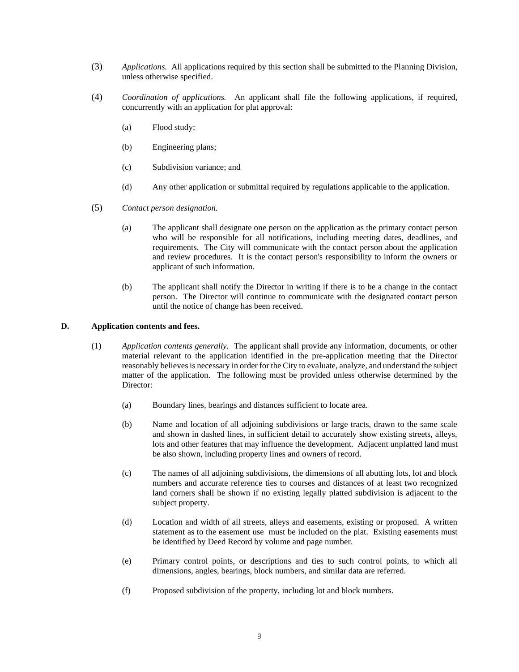- (3) *Applications.* All applications required by this section shall be submitted to the Planning Division, unless otherwise specified.
- (4) *Coordination of applications.* An applicant shall file the following applications, if required, concurrently with an application for plat approval:
	- (a) Flood study;
	- (b) Engineering plans;
	- (c) Subdivision variance; and
	- (d) Any other application or submittal required by regulations applicable to the application.
- (5) *Contact person designation.*
	- (a) The applicant shall designate one person on the application as the primary contact person who will be responsible for all notifications, including meeting dates, deadlines, and requirements. The City will communicate with the contact person about the application and review procedures. It is the contact person's responsibility to inform the owners or applicant of such information.
	- (b) The applicant shall notify the Director in writing if there is to be a change in the contact person. The Director will continue to communicate with the designated contact person until the notice of change has been received.

#### **D. Application contents and fees.**

- (1) *Application contents generally.* The applicant shall provide any information, documents, or other material relevant to the application identified in the pre-application meeting that the Director reasonably believes is necessary in order for the City to evaluate, analyze, and understand the subject matter of the application. The following must be provided unless otherwise determined by the Director:
	- (a) Boundary lines, bearings and distances sufficient to locate area.
	- (b) Name and location of all adjoining subdivisions or large tracts, drawn to the same scale and shown in dashed lines, in sufficient detail to accurately show existing streets, alleys, lots and other features that may influence the development. Adjacent unplatted land must be also shown, including property lines and owners of record.
	- (c) The names of all adjoining subdivisions, the dimensions of all abutting lots, lot and block numbers and accurate reference ties to courses and distances of at least two recognized land corners shall be shown if no existing legally platted subdivision is adjacent to the subject property.
	- (d) Location and width of all streets, alleys and easements, existing or proposed. A written statement as to the easement use must be included on the plat. Existing easements must be identified by Deed Record by volume and page number.
	- (e) Primary control points, or descriptions and ties to such control points, to which all dimensions, angles, bearings, block numbers, and similar data are referred.
	- (f) Proposed subdivision of the property, including lot and block numbers.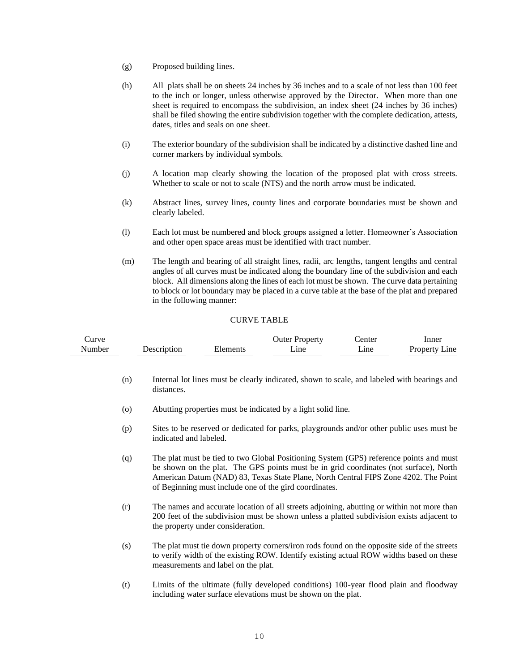- (g) Proposed building lines.
- (h) All plats shall be on sheets 24 inches by 36 inches and to a scale of not less than 100 feet to the inch or longer, unless otherwise approved by the Director. When more than one sheet is required to encompass the subdivision, an index sheet (24 inches by 36 inches) shall be filed showing the entire subdivision together with the complete dedication, attests, dates, titles and seals on one sheet.
- (i) The exterior boundary of the subdivision shall be indicated by a distinctive dashed line and corner markers by individual symbols.
- (j) A location map clearly showing the location of the proposed plat with cross streets. Whether to scale or not to scale (NTS) and the north arrow must be indicated.
- (k) Abstract lines, survey lines, county lines and corporate boundaries must be shown and clearly labeled.
- (l) Each lot must be numbered and block groups assigned a letter. Homeowner's Association and other open space areas must be identified with tract number.
- (m) The length and bearing of all straight lines, radii, arc lengths, tangent lengths and central angles of all curves must be indicated along the boundary line of the subdivision and each block. All dimensions along the lines of each lot must be shown. The curve data pertaining to block or lot boundary may be placed in a curve table at the base of the plat and prepared in the following manner:

#### CURVE TABLE

| lurve  |             |          | Outer Property  | enter           | Inner                |
|--------|-------------|----------|-----------------|-----------------|----------------------|
| Number | Description | Elements | <sub>1</sub> ne | <sub>1</sub> ne | <b>Property Line</b> |

- (n) Internal lot lines must be clearly indicated, shown to scale, and labeled with bearings and distances.
- (o) Abutting properties must be indicated by a light solid line.
- (p) Sites to be reserved or dedicated for parks, playgrounds and/or other public uses must be indicated and labeled.
- (q) The plat must be tied to two Global Positioning System (GPS) reference points and must be shown on the plat. The GPS points must be in grid coordinates (not surface), North American Datum (NAD) 83, Texas State Plane, North Central FIPS Zone 4202. The Point of Beginning must include one of the gird coordinates.
- (r) The names and accurate location of all streets adjoining, abutting or within not more than 200 feet of the subdivision must be shown unless a platted subdivision exists adjacent to the property under consideration.
- (s) The plat must tie down property corners/iron rods found on the opposite side of the streets to verify width of the existing ROW. Identify existing actual ROW widths based on these measurements and label on the plat.
- (t) Limits of the ultimate (fully developed conditions) 100-year flood plain and floodway including water surface elevations must be shown on the plat.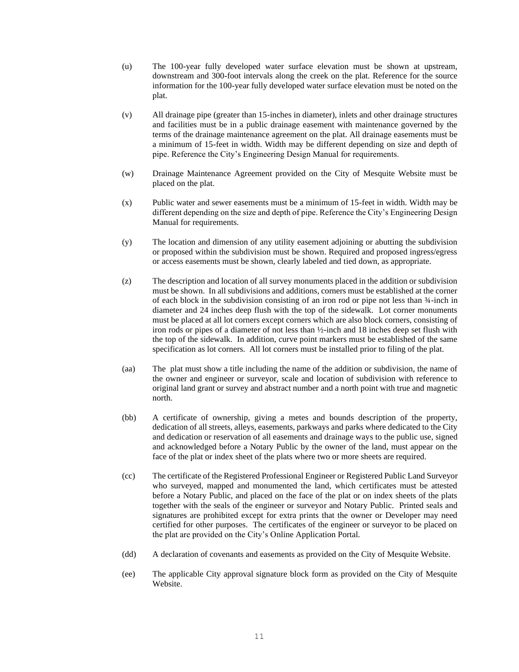- (u) The 100-year fully developed water surface elevation must be shown at upstream, downstream and 300-foot intervals along the creek on the plat. Reference for the source information for the 100-year fully developed water surface elevation must be noted on the plat.
- (v) All drainage pipe (greater than 15-inches in diameter), inlets and other drainage structures and facilities must be in a public drainage easement with maintenance governed by the terms of the drainage maintenance agreement on the plat. All drainage easements must be a minimum of 15-feet in width. Width may be different depending on size and depth of pipe. Reference the City's Engineering Design Manual for requirements.
- (w) Drainage Maintenance Agreement provided on the City of Mesquite Website must be placed on the plat.
- (x) Public water and sewer easements must be a minimum of 15-feet in width. Width may be different depending on the size and depth of pipe. Reference the City's Engineering Design Manual for requirements.
- (y) The location and dimension of any utility easement adjoining or abutting the subdivision or proposed within the subdivision must be shown. Required and proposed ingress/egress or access easements must be shown, clearly labeled and tied down, as appropriate.
- (z) The description and location of all survey monuments placed in the addition or subdivision must be shown. In all subdivisions and additions, corners must be established at the corner of each block in the subdivision consisting of an iron rod or pipe not less than ¾-inch in diameter and 24 inches deep flush with the top of the sidewalk. Lot corner monuments must be placed at all lot corners except corners which are also block corners, consisting of iron rods or pipes of a diameter of not less than ½-inch and 18 inches deep set flush with the top of the sidewalk. In addition, curve point markers must be established of the same specification as lot corners. All lot corners must be installed prior to filing of the plat.
- (aa) The plat must show a title including the name of the addition or subdivision, the name of the owner and engineer or surveyor, scale and location of subdivision with reference to original land grant or survey and abstract number and a north point with true and magnetic north.
- (bb) A certificate of ownership, giving a metes and bounds description of the property, dedication of all streets, alleys, easements, parkways and parks where dedicated to the City and dedication or reservation of all easements and drainage ways to the public use, signed and acknowledged before a Notary Public by the owner of the land, must appear on the face of the plat or index sheet of the plats where two or more sheets are required.
- (cc) The certificate of the Registered Professional Engineer or Registered Public Land Surveyor who surveyed, mapped and monumented the land, which certificates must be attested before a Notary Public, and placed on the face of the plat or on index sheets of the plats together with the seals of the engineer or surveyor and Notary Public. Printed seals and signatures are prohibited except for extra prints that the owner or Developer may need certified for other purposes. The certificates of the engineer or surveyor to be placed on the plat are provided on the City's Online Application Portal.
- (dd) A declaration of covenants and easements as provided on the City of Mesquite Website.
- (ee) The applicable City approval signature block form as provided on the City of Mesquite Website.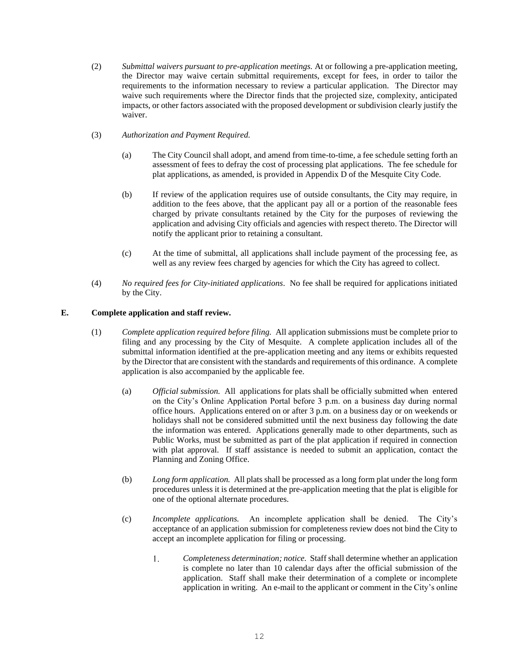- (2) *Submittal waivers pursuant to pre-application meetings.* At or following a pre-application meeting, the Director may waive certain submittal requirements, except for fees, in order to tailor the requirements to the information necessary to review a particular application. The Director may waive such requirements where the Director finds that the projected size, complexity, anticipated impacts, or other factors associated with the proposed development or subdivision clearly justify the waiver.
- (3) *Authorization and Payment Required.* 
	- (a) The City Council shall adopt, and amend from time-to-time, a fee schedule setting forth an assessment of fees to defray the cost of processing plat applications. The fee schedule for plat applications, as amended, is provided in Appendix D of the Mesquite City Code.
	- (b) If review of the application requires use of outside consultants, the City may require, in addition to the fees above, that the applicant pay all or a portion of the reasonable fees charged by private consultants retained by the City for the purposes of reviewing the application and advising City officials and agencies with respect thereto. The Director will notify the applicant prior to retaining a consultant.
	- (c) At the time of submittal, all applications shall include payment of the processing fee, as well as any review fees charged by agencies for which the City has agreed to collect.
- (4) *No required fees for City-initiated applications*. No fee shall be required for applications initiated by the City.

# **E. Complete application and staff review.**

- (1) *Complete application required before filing.* All application submissions must be complete prior to filing and any processing by the City of Mesquite. A complete application includes all of the submittal information identified at the pre-application meeting and any items or exhibits requested by the Director that are consistent with the standards and requirements of this ordinance. A complete application is also accompanied by the applicable fee.
	- (a) *Official submission.* All applications for plats shall be officially submitted when entered on the City's Online Application Portal before 3 p.m. on a business day during normal office hours. Applications entered on or after 3 p.m. on a business day or on weekends or holidays shall not be considered submitted until the next business day following the date the information was entered. Applications generally made to other departments, such as Public Works, must be submitted as part of the plat application if required in connection with plat approval. If staff assistance is needed to submit an application, contact the Planning and Zoning Office.
	- (b) *Long form application.* All plats shall be processed as a long form plat under the long form procedures unless it is determined at the pre-application meeting that the plat is eligible for one of the optional alternate procedures.
	- (c) *Incomplete applications.* An incomplete application shall be denied. The City's acceptance of an application submission for completeness review does not bind the City to accept an incomplete application for filing or processing.
		- *Completeness determination; notice.* Staff shall determine whether an application  $1.$ is complete no later than 10 calendar days after the official submission of the application. Staff shall make their determination of a complete or incomplete application in writing. An e-mail to the applicant or comment in the City's online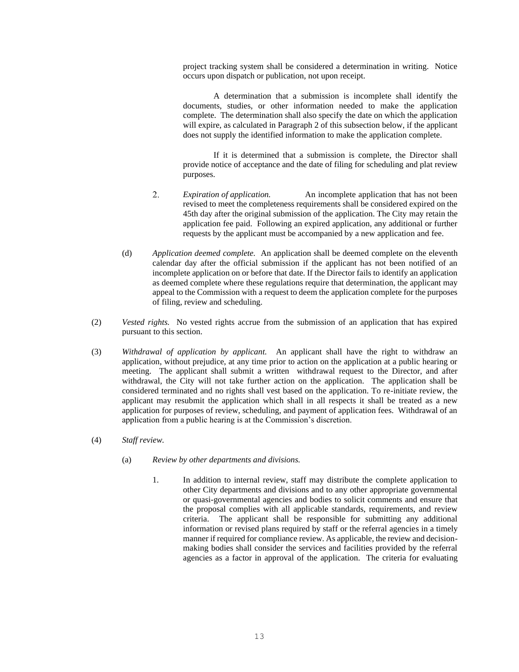project tracking system shall be considered a determination in writing. Notice occurs upon dispatch or publication, not upon receipt.

A determination that a submission is incomplete shall identify the documents, studies, or other information needed to make the application complete. The determination shall also specify the date on which the application will expire, as calculated in Paragraph 2 of this subsection below, if the applicant does not supply the identified information to make the application complete.

If it is determined that a submission is complete, the Director shall provide notice of acceptance and the date of filing for scheduling and plat review purposes.

- 2. *Expiration of application.* An incomplete application that has not been revised to meet the completeness requirements shall be considered expired on the 45th day after the original submission of the application. The City may retain the application fee paid. Following an expired application, any additional or further requests by the applicant must be accompanied by a new application and fee.
- (d) *Application deemed complete.* An application shall be deemed complete on the eleventh calendar day after the official submission if the applicant has not been notified of an incomplete application on or before that date. If the Director fails to identify an application as deemed complete where these regulations require that determination, the applicant may appeal to the Commission with a request to deem the application complete for the purposes of filing, review and scheduling.
- (2) *Vested rights.* No vested rights accrue from the submission of an application that has expired pursuant to this section.
- (3) *Withdrawal of application by applicant.* An applicant shall have the right to withdraw an application, without prejudice, at any time prior to action on the application at a public hearing or meeting. The applicant shall submit a written withdrawal request to the Director, and after withdrawal, the City will not take further action on the application. The application shall be considered terminated and no rights shall vest based on the application. To re-initiate review, the applicant may resubmit the application which shall in all respects it shall be treated as a new application for purposes of review, scheduling, and payment of application fees. Withdrawal of an application from a public hearing is at the Commission's discretion.
- (4) *Staff review.* 
	- (a) *Review by other departments and divisions.*
		- 1. In addition to internal review, staff may distribute the complete application to other City departments and divisions and to any other appropriate governmental or quasi-governmental agencies and bodies to solicit comments and ensure that the proposal complies with all applicable standards, requirements, and review criteria. The applicant shall be responsible for submitting any additional information or revised plans required by staff or the referral agencies in a timely manner if required for compliance review. As applicable, the review and decisionmaking bodies shall consider the services and facilities provided by the referral agencies as a factor in approval of the application. The criteria for evaluating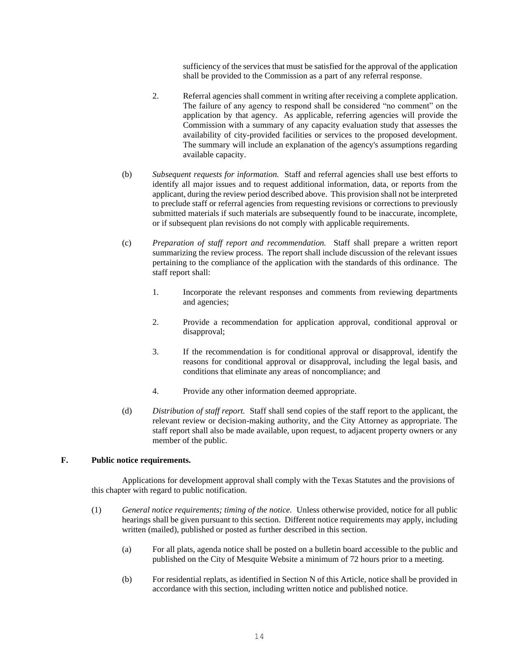sufficiency of the services that must be satisfied for the approval of the application shall be provided to the Commission as a part of any referral response.

- 2. Referral agencies shall comment in writing after receiving a complete application. The failure of any agency to respond shall be considered "no comment" on the application by that agency. As applicable, referring agencies will provide the Commission with a summary of any capacity evaluation study that assesses the availability of city-provided facilities or services to the proposed development. The summary will include an explanation of the agency's assumptions regarding available capacity.
- (b) *Subsequent requests for information.* Staff and referral agencies shall use best efforts to identify all major issues and to request additional information, data, or reports from the applicant, during the review period described above. This provision shall not be interpreted to preclude staff or referral agencies from requesting revisions or corrections to previously submitted materials if such materials are subsequently found to be inaccurate, incomplete, or if subsequent plan revisions do not comply with applicable requirements.
- (c) *Preparation of staff report and recommendation.* Staff shall prepare a written report summarizing the review process. The report shall include discussion of the relevant issues pertaining to the compliance of the application with the standards of this ordinance. The staff report shall:
	- 1. Incorporate the relevant responses and comments from reviewing departments and agencies;
	- 2. Provide a recommendation for application approval, conditional approval or disapproval;
	- 3. If the recommendation is for conditional approval or disapproval, identify the reasons for conditional approval or disapproval, including the legal basis, and conditions that eliminate any areas of noncompliance; and
	- 4. Provide any other information deemed appropriate.
- (d) *Distribution of staff report.* Staff shall send copies of the staff report to the applicant, the relevant review or decision-making authority, and the City Attorney as appropriate. The staff report shall also be made available, upon request, to adjacent property owners or any member of the public.

#### **F. Public notice requirements.**

Applications for development approval shall comply with the Texas Statutes and the provisions of this chapter with regard to public notification.

- (1) *General notice requirements; timing of the notice.* Unless otherwise provided, notice for all public hearings shall be given pursuant to this section. Different notice requirements may apply, including written (mailed), published or posted as further described in this section.
	- (a) For all plats, agenda notice shall be posted on a bulletin board accessible to the public and published on the City of Mesquite Website a minimum of 72 hours prior to a meeting.
	- (b) For residential replats, as identified in Section N of this Article, notice shall be provided in accordance with this section, including written notice and published notice.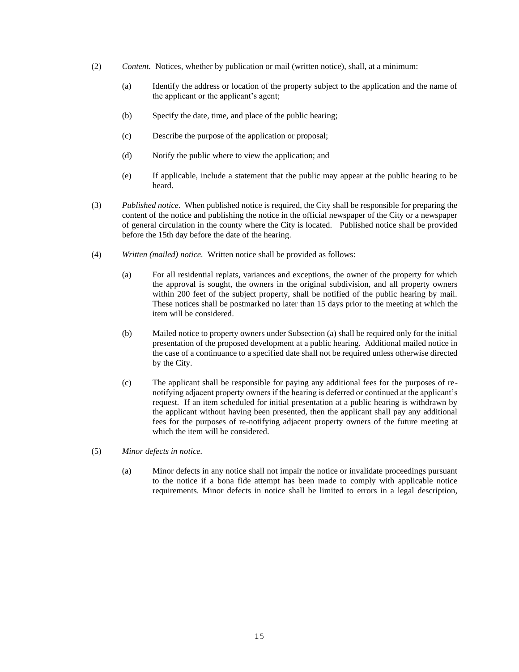- (2) *Content.* Notices, whether by publication or mail (written notice), shall, at a minimum:
	- (a) Identify the address or location of the property subject to the application and the name of the applicant or the applicant's agent;
	- (b) Specify the date, time, and place of the public hearing;
	- (c) Describe the purpose of the application or proposal;
	- (d) Notify the public where to view the application; and
	- (e) If applicable, include a statement that the public may appear at the public hearing to be heard.
- (3) *Published notice.* When published notice is required, the City shall be responsible for preparing the content of the notice and publishing the notice in the official newspaper of the City or a newspaper of general circulation in the county where the City is located. Published notice shall be provided before the 15th day before the date of the hearing.
- (4) *Written (mailed) notice.* Written notice shall be provided as follows:
	- (a) For all residential replats, variances and exceptions, the owner of the property for which the approval is sought, the owners in the original subdivision, and all property owners within 200 feet of the subject property, shall be notified of the public hearing by mail. These notices shall be postmarked no later than 15 days prior to the meeting at which the item will be considered.
	- (b) Mailed notice to property owners under Subsection (a) shall be required only for the initial presentation of the proposed development at a public hearing. Additional mailed notice in the case of a continuance to a specified date shall not be required unless otherwise directed by the City.
	- (c) The applicant shall be responsible for paying any additional fees for the purposes of renotifying adjacent property owners if the hearing is deferred or continued at the applicant's request. If an item scheduled for initial presentation at a public hearing is withdrawn by the applicant without having been presented, then the applicant shall pay any additional fees for the purposes of re-notifying adjacent property owners of the future meeting at which the item will be considered.

#### (5) *Minor defects in notice.*

(a) Minor defects in any notice shall not impair the notice or invalidate proceedings pursuant to the notice if a bona fide attempt has been made to comply with applicable notice requirements. Minor defects in notice shall be limited to errors in a legal description,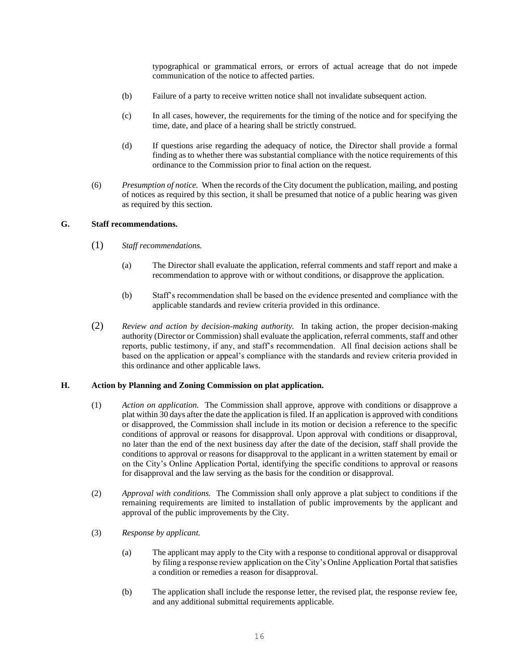typographical or grammatical errors, or errors of actual acreage that do not impede communication of the notice to affected parties.

- (b) Failure of a party to receive written notice shall not invalidate subsequent action.
- (c) In all cases, however, the requirements for the timing of the notice and for specifying the time, date, and place of a hearing shall be strictly construed.
- (d) If questions arise regarding the adequacy of notice, the Director shall provide a formal finding as to whether there was substantial compliance with the notice requirements of this ordinance to the Commission prior to final action on the request.
- (6) *Presumption of notice.* When the records of the City document the publication, mailing, and posting of notices as required by this section, it shall be presumed that notice of a public hearing was given as required by this section.

#### **G. Staff recommendations.**

- (1) *Staff recommendations.*
	- (a) The Director shall evaluate the application, referral comments and staff report and make a recommendation to approve with or without conditions, or disapprove the application.
	- (b) Staff's recommendation shall be based on the evidence presented and compliance with the applicable standards and review criteria provided in this ordinance.
- (2) *Review and action by decision-making authority.* In taking action, the proper decision-making authority (Director or Commission) shall evaluate the application, referral comments, staff and other reports, public testimony, if any, and staff's recommendation. All final decision actions shall be based on the application or appeal's compliance with the standards and review criteria provided in this ordinance and other applicable laws.

# **H. Action by Planning and Zoning Commission on plat application.**

- (1) *Action on application.* The Commission shall approve, approve with conditions or disapprove a plat within 30 days after the date the application is filed. If an application is approved with conditions or disapproved, the Commission shall include in its motion or decision a reference to the specific conditions of approval or reasons for disapproval. Upon approval with conditions or disapproval, no later than the end of the next business day after the date of the decision, staff shall provide the conditions to approval or reasons for disapproval to the applicant in a written statement by email or on the City's Online Application Portal, identifying the specific conditions to approval or reasons for disapproval and the law serving as the basis for the condition or disapproval.
- (2) *Approval with conditions.* The Commission shall only approve a plat subject to conditions if the remaining requirements are limited to installation of public improvements by the applicant and approval of the public improvements by the City.
- (3) *Response by applicant.*
	- (a) The applicant may apply to the City with a response to conditional approval or disapproval by filing a response review application on the City's Online Application Portal that satisfies a condition or remedies a reason for disapproval.
	- (b) The application shall include the response letter, the revised plat, the response review fee, and any additional submittal requirements applicable.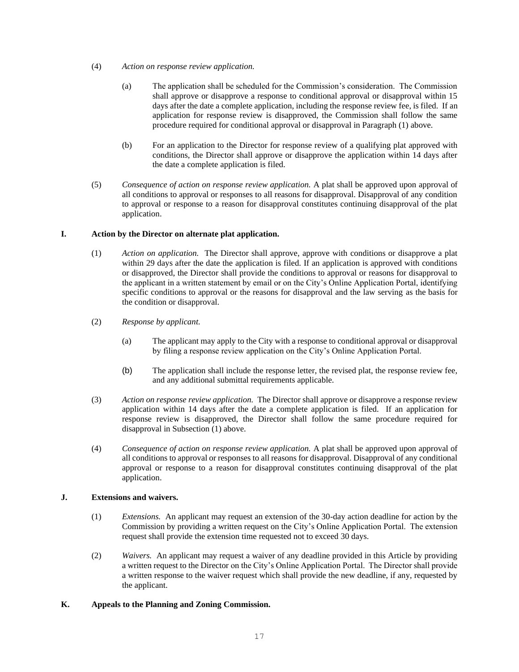- (4) *Action on response review application.*
	- (a) The application shall be scheduled for the Commission's consideration. The Commission shall approve or disapprove a response to conditional approval or disapproval within 15 days after the date a complete application, including the response review fee, is filed. If an application for response review is disapproved, the Commission shall follow the same procedure required for conditional approval or disapproval in Paragraph (1) above.
	- (b) For an application to the Director for response review of a qualifying plat approved with conditions, the Director shall approve or disapprove the application within 14 days after the date a complete application is filed.
- (5) *Consequence of action on response review application.* A plat shall be approved upon approval of all conditions to approval or responses to all reasons for disapproval. Disapproval of any condition to approval or response to a reason for disapproval constitutes continuing disapproval of the plat application.

# **I. Action by the Director on alternate plat application.**

- (1) *Action on application.* The Director shall approve, approve with conditions or disapprove a plat within 29 days after the date the application is filed. If an application is approved with conditions or disapproved, the Director shall provide the conditions to approval or reasons for disapproval to the applicant in a written statement by email or on the City's Online Application Portal, identifying specific conditions to approval or the reasons for disapproval and the law serving as the basis for the condition or disapproval.
- (2) *Response by applicant.* 
	- (a) The applicant may apply to the City with a response to conditional approval or disapproval by filing a response review application on the City's Online Application Portal.
	- (b) The application shall include the response letter, the revised plat, the response review fee, and any additional submittal requirements applicable.
- (3) *Action on response review application.* The Director shall approve or disapprove a response review application within 14 days after the date a complete application is filed. If an application for response review is disapproved, the Director shall follow the same procedure required for disapproval in Subsection (1) above.
- (4) *Consequence of action on response review application.* A plat shall be approved upon approval of all conditions to approval or responses to all reasons for disapproval. Disapproval of any conditional approval or response to a reason for disapproval constitutes continuing disapproval of the plat application.

# **J. Extensions and waivers.**

- (1) *Extensions.* An applicant may request an extension of the 30-day action deadline for action by the Commission by providing a written request on the City's Online Application Portal. The extension request shall provide the extension time requested not to exceed 30 days.
- (2) *Waivers.* An applicant may request a waiver of any deadline provided in this Article by providing a written request to the Director on the City's Online Application Portal. The Director shall provide a written response to the waiver request which shall provide the new deadline, if any, requested by the applicant.

# **K. Appeals to the Planning and Zoning Commission.**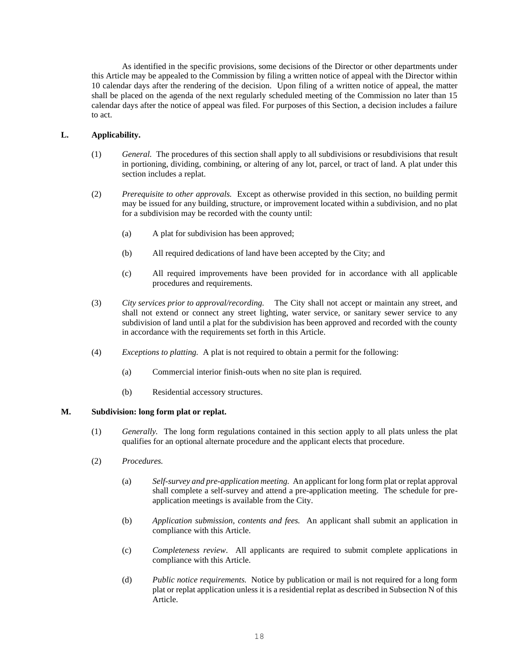As identified in the specific provisions, some decisions of the Director or other departments under this Article may be appealed to the Commission by filing a written notice of appeal with the Director within 10 calendar days after the rendering of the decision. Upon filing of a written notice of appeal, the matter shall be placed on the agenda of the next regularly scheduled meeting of the Commission no later than 15 calendar days after the notice of appeal was filed. For purposes of this Section, a decision includes a failure to act.

# **L. Applicability.**

- (1) *General.* The procedures of this section shall apply to all subdivisions or resubdivisions that result in portioning, dividing, combining, or altering of any lot, parcel, or tract of land. A plat under this section includes a replat.
- (2) *Prerequisite to other approvals.* Except as otherwise provided in this section, no building permit may be issued for any building, structure, or improvement located within a subdivision, and no plat for a subdivision may be recorded with the county until:
	- (a) A plat for subdivision has been approved;
	- (b) All required dedications of land have been accepted by the City; and
	- (c) All required improvements have been provided for in accordance with all applicable procedures and requirements.
- (3) *City services prior to approval/recording.* The City shall not accept or maintain any street, and shall not extend or connect any street lighting, water service, or sanitary sewer service to any subdivision of land until a plat for the subdivision has been approved and recorded with the county in accordance with the requirements set forth in this Article.
- (4) *Exceptions to platting.* A plat is not required to obtain a permit for the following:
	- (a) Commercial interior finish-outs when no site plan is required.
	- (b) Residential accessory structures.

#### **M. Subdivision: long form plat or replat.**

- (1) *Generally.* The long form regulations contained in this section apply to all plats unless the plat qualifies for an optional alternate procedure and the applicant elects that procedure.
- (2) *Procedures.*
	- (a) *Self-survey and pre-application meeting.* An applicant for long form plat or replat approval shall complete a self-survey and attend a pre-application meeting. The schedule for preapplication meetings is available from the City.
	- (b) *Application submission, contents and fees.* An applicant shall submit an application in compliance with this Article.
	- (c) *Completeness review*. All applicants are required to submit complete applications in compliance with this Article.
	- (d) *Public notice requirements.* Notice by publication or mail is not required for a long form plat or replat application unless it is a residential replat as described in Subsection N of this Article.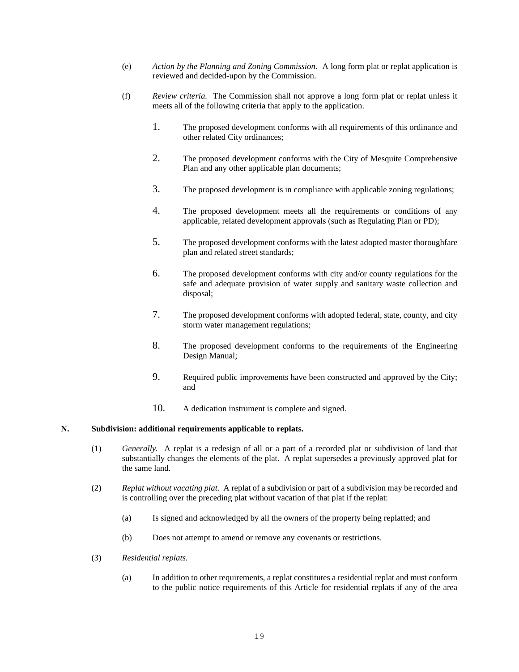- (e) *Action by the Planning and Zoning Commission.* A long form plat or replat application is reviewed and decided-upon by the Commission.
- (f) *Review criteria.* The Commission shall not approve a long form plat or replat unless it meets all of the following criteria that apply to the application.
	- 1. The proposed development conforms with all requirements of this ordinance and other related City ordinances;
	- 2. The proposed development conforms with the City of Mesquite Comprehensive Plan and any other applicable plan documents;
	- 3. The proposed development is in compliance with applicable zoning regulations;
	- 4. The proposed development meets all the requirements or conditions of any applicable, related development approvals (such as Regulating Plan or PD);
	- 5. The proposed development conforms with the latest adopted master thoroughfare plan and related street standards;
	- 6. The proposed development conforms with city and/or county regulations for the safe and adequate provision of water supply and sanitary waste collection and disposal;
	- 7. The proposed development conforms with adopted federal, state, county, and city storm water management regulations;
	- 8. The proposed development conforms to the requirements of the Engineering Design Manual;
	- 9. Required public improvements have been constructed and approved by the City; and
	- 10. A dedication instrument is complete and signed.

#### **N. Subdivision: additional requirements applicable to replats.**

- (1) *Generally.* A replat is a redesign of all or a part of a recorded plat or subdivision of land that substantially changes the elements of the plat. A replat supersedes a previously approved plat for the same land.
- (2) *Replat without vacating plat.* A replat of a subdivision or part of a subdivision may be recorded and is controlling over the preceding plat without vacation of that plat if the replat:
	- (a) Is signed and acknowledged by all the owners of the property being replatted; and
	- (b) Does not attempt to amend or remove any covenants or restrictions.
- (3) *Residential replats.*
	- (a) In addition to other requirements, a replat constitutes a residential replat and must conform to the public notice requirements of this Article for residential replats if any of the area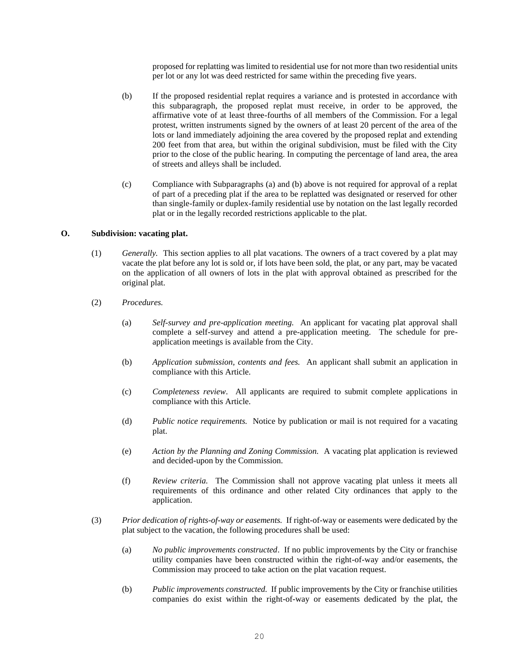proposed for replatting was limited to residential use for not more than two residential units per lot or any lot was deed restricted for same within the preceding five years.

- (b) If the proposed residential replat requires a variance and is protested in accordance with this subparagraph, the proposed replat must receive, in order to be approved, the affirmative vote of at least three-fourths of all members of the Commission. For a legal protest, written instruments signed by the owners of at least 20 percent of the area of the lots or land immediately adjoining the area covered by the proposed replat and extending 200 feet from that area, but within the original subdivision, must be filed with the City prior to the close of the public hearing. In computing the percentage of land area, the area of streets and alleys shall be included.
- (c) Compliance with Subparagraphs (a) and (b) above is not required for approval of a replat of part of a preceding plat if the area to be replatted was designated or reserved for other than single-family or duplex-family residential use by notation on the last legally recorded plat or in the legally recorded restrictions applicable to the plat.

# **O. Subdivision: vacating plat.**

- (1) *Generally.* This section applies to all plat vacations. The owners of a tract covered by a plat may vacate the plat before any lot is sold or, if lots have been sold, the plat, or any part, may be vacated on the application of all owners of lots in the plat with approval obtained as prescribed for the original plat.
- (2) *Procedures.*
	- (a) *Self-survey and pre-application meeting.* An applicant for vacating plat approval shall complete a self-survey and attend a pre-application meeting. The schedule for preapplication meetings is available from the City.
	- (b) *Application submission, contents and fees.* An applicant shall submit an application in compliance with this Article.
	- (c) *Completeness review*. All applicants are required to submit complete applications in compliance with this Article.
	- (d) *Public notice requirements.* Notice by publication or mail is not required for a vacating plat.
	- (e) *Action by the Planning and Zoning Commission.* A vacating plat application is reviewed and decided-upon by the Commission.
	- (f) *Review criteria.* The Commission shall not approve vacating plat unless it meets all requirements of this ordinance and other related City ordinances that apply to the application.
- (3) *Prior dedication of rights-of-way or easements.* If right-of-way or easements were dedicated by the plat subject to the vacation, the following procedures shall be used:
	- (a) *No public improvements constructed*. If no public improvements by the City or franchise utility companies have been constructed within the right-of-way and/or easements, the Commission may proceed to take action on the plat vacation request.
	- (b) *Public improvements constructed.* If public improvements by the City or franchise utilities companies do exist within the right-of-way or easements dedicated by the plat, the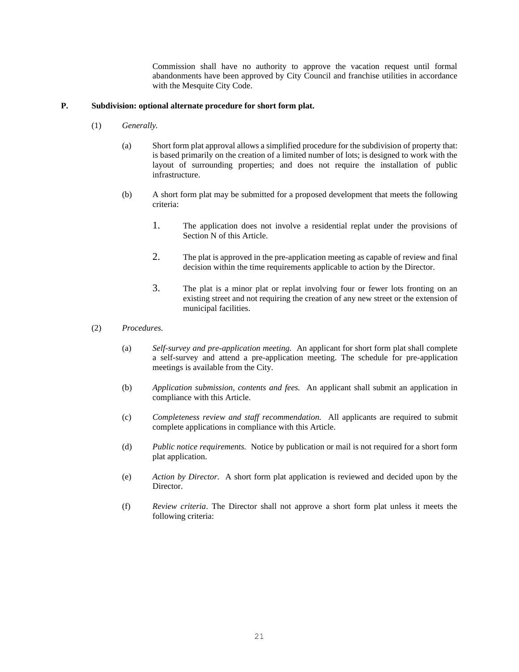Commission shall have no authority to approve the vacation request until formal abandonments have been approved by City Council and franchise utilities in accordance with the Mesquite City Code.

#### **P. Subdivision: optional alternate procedure for short form plat.**

- (1) *Generally.* 
	- (a) Short form plat approval allows a simplified procedure for the subdivision of property that: is based primarily on the creation of a limited number of lots; is designed to work with the layout of surrounding properties; and does not require the installation of public infrastructure.
	- (b) A short form plat may be submitted for a proposed development that meets the following criteria:
		- 1. The application does not involve a residential replat under the provisions of Section N of this Article.
		- 2. The plat is approved in the pre-application meeting as capable of review and final decision within the time requirements applicable to action by the Director.
		- 3. The plat is a minor plat or replat involving four or fewer lots fronting on an existing street and not requiring the creation of any new street or the extension of municipal facilities.
- (2) *Procedures.*
	- (a) *Self-survey and pre-application meeting.* An applicant for short form plat shall complete a self-survey and attend a pre-application meeting. The schedule for pre-application meetings is available from the City.
	- (b) *Application submission, contents and fees.* An applicant shall submit an application in compliance with this Article.
	- (c) *Completeness review and staff recommendation.* All applicants are required to submit complete applications in compliance with this Article.
	- (d) *Public notice requirements.* Notice by publication or mail is not required for a short form plat application.
	- (e) *Action by Director.* A short form plat application is reviewed and decided upon by the Director.
	- (f) *Review criteria*. The Director shall not approve a short form plat unless it meets the following criteria: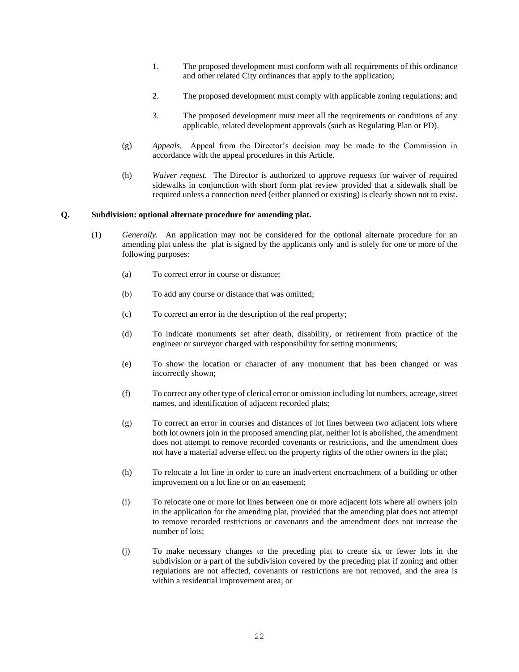- 1. The proposed development must conform with all requirements of this ordinance and other related City ordinances that apply to the application;
- 2. The proposed development must comply with applicable zoning regulations; and
- 3. The proposed development must meet all the requirements or conditions of any applicable, related development approvals (such as Regulating Plan or PD).
- (g) *Appeals.* Appeal from the Director's decision may be made to the Commission in accordance with the appeal procedures in this Article.
- (h) *Waiver request.* The Director is authorized to approve requests for waiver of required sidewalks in conjunction with short form plat review provided that a sidewalk shall be required unless a connection need (either planned or existing) is clearly shown not to exist.

#### **Q. Subdivision: optional alternate procedure for amending plat.**

- (1) *Generally.* An application may not be considered for the optional alternate procedure for an amending plat unless the plat is signed by the applicants only and is solely for one or more of the following purposes:
	- (a) To correct error in course or distance;
	- (b) To add any course or distance that was omitted;
	- (c) To correct an error in the description of the real property;
	- (d) To indicate monuments set after death, disability, or retirement from practice of the engineer or surveyor charged with responsibility for setting monuments;
	- (e) To show the location or character of any monument that has been changed or was incorrectly shown;
	- (f) To correct any other type of clerical error or omission including lot numbers, acreage, street names, and identification of adjacent recorded plats;
	- (g) To correct an error in courses and distances of lot lines between two adjacent lots where both lot owners join in the proposed amending plat, neither lot is abolished, the amendment does not attempt to remove recorded covenants or restrictions, and the amendment does not have a material adverse effect on the property rights of the other owners in the plat;
	- (h) To relocate a lot line in order to cure an inadvertent encroachment of a building or other improvement on a lot line or on an easement;
	- (i) To relocate one or more lot lines between one or more adjacent lots where all owners join in the application for the amending plat, provided that the amending plat does not attempt to remove recorded restrictions or covenants and the amendment does not increase the number of lots;
	- (j) To make necessary changes to the preceding plat to create six or fewer lots in the subdivision or a part of the subdivision covered by the preceding plat if zoning and other regulations are not affected, covenants or restrictions are not removed, and the area is within a residential improvement area; or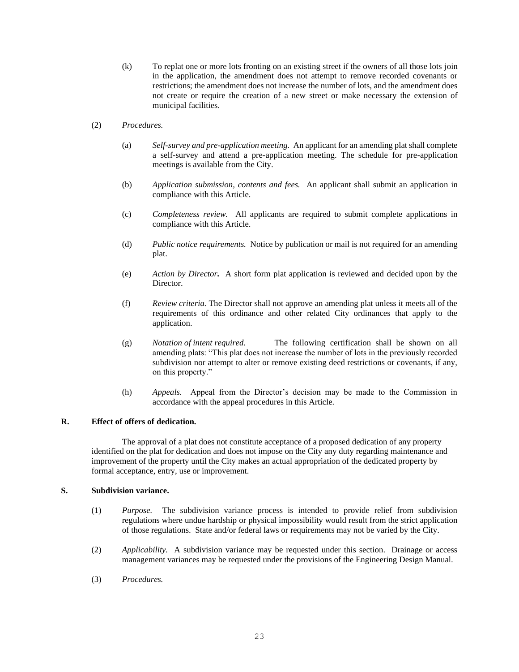- (k) To replat one or more lots fronting on an existing street if the owners of all those lots join in the application, the amendment does not attempt to remove recorded covenants or restrictions; the amendment does not increase the number of lots, and the amendment does not create or require the creation of a new street or make necessary the extension of municipal facilities.
- (2) *Procedures.* 
	- (a) *Self-survey and pre-application meeting.* An applicant for an amending plat shall complete a self-survey and attend a pre-application meeting. The schedule for pre-application meetings is available from the City.
	- (b) *Application submission, contents and fees.* An applicant shall submit an application in compliance with this Article.
	- (c) *Completeness review.* All applicants are required to submit complete applications in compliance with this Article.
	- (d) *Public notice requirements.* Notice by publication or mail is not required for an amending plat.
	- (e) *Action by Director.*A short form plat application is reviewed and decided upon by the Director.
	- (f) *Review criteria.* The Director shall not approve an amending plat unless it meets all of the requirements of this ordinance and other related City ordinances that apply to the application.
	- (g) *Notation of intent required.* The following certification shall be shown on all amending plats: "This plat does not increase the number of lots in the previously recorded subdivision nor attempt to alter or remove existing deed restrictions or covenants, if any, on this property."
	- (h) *Appeals.* Appeal from the Director's decision may be made to the Commission in accordance with the appeal procedures in this Article.

#### **R. Effect of offers of dedication.**

The approval of a plat does not constitute acceptance of a proposed dedication of any property identified on the plat for dedication and does not impose on the City any duty regarding maintenance and improvement of the property until the City makes an actual appropriation of the dedicated property by formal acceptance, entry, use or improvement.

#### **S. Subdivision variance.**

- (1) *Purpose.* The subdivision variance process is intended to provide relief from subdivision regulations where undue hardship or physical impossibility would result from the strict application of those regulations. State and/or federal laws or requirements may not be varied by the City.
- (2) *Applicability.* A subdivision variance may be requested under this section. Drainage or access management variances may be requested under the provisions of the Engineering Design Manual.
- (3) *Procedures.*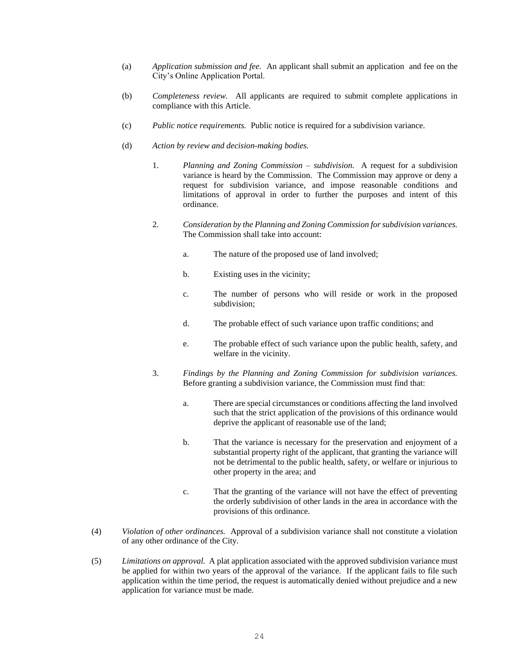- (a) *Application submission and fee.* An applicant shall submit an application and fee on the City's Online Application Portal.
- (b) *Completeness review.* All applicants are required to submit complete applications in compliance with this Article.
- (c) *Public notice requirements.* Public notice is required for a subdivision variance.
- (d) *Action by review and decision-making bodies.*
	- 1. *Planning and Zoning Commission – subdivision.* A request for a subdivision variance is heard by the Commission. The Commission may approve or deny a request for subdivision variance, and impose reasonable conditions and limitations of approval in order to further the purposes and intent of this ordinance.
	- 2. *Consideration by the Planning and Zoning Commission for subdivision variances.* The Commission shall take into account:
		- a. The nature of the proposed use of land involved;
		- b. Existing uses in the vicinity;
		- c. The number of persons who will reside or work in the proposed subdivision;
		- d. The probable effect of such variance upon traffic conditions; and
		- e. The probable effect of such variance upon the public health, safety, and welfare in the vicinity.
	- 3. *Findings by the Planning and Zoning Commission for subdivision variances.*  Before granting a subdivision variance, the Commission must find that:
		- a. There are special circumstances or conditions affecting the land involved such that the strict application of the provisions of this ordinance would deprive the applicant of reasonable use of the land;
		- b. That the variance is necessary for the preservation and enjoyment of a substantial property right of the applicant, that granting the variance will not be detrimental to the public health, safety, or welfare or injurious to other property in the area; and
		- c. That the granting of the variance will not have the effect of preventing the orderly subdivision of other lands in the area in accordance with the provisions of this ordinance.
- (4) *Violation of other ordinances.* Approval of a subdivision variance shall not constitute a violation of any other ordinance of the City.
- (5) *Limitations on approval.* A plat application associated with the approved subdivision variance must be applied for within two years of the approval of the variance. If the applicant fails to file such application within the time period, the request is automatically denied without prejudice and a new application for variance must be made.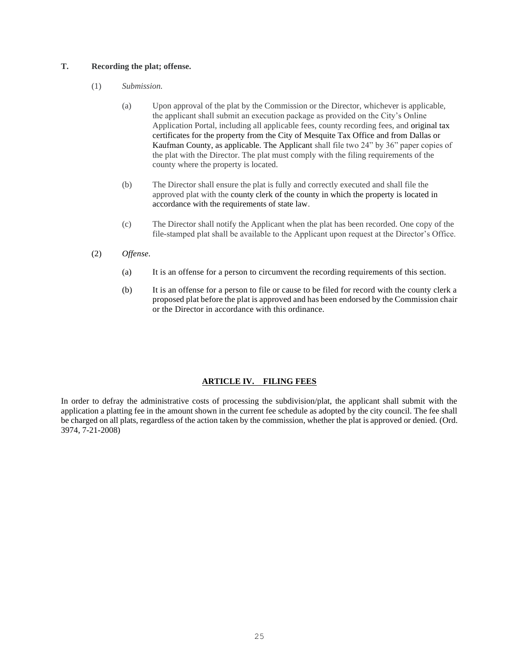# **T. Recording the plat; offense.**

- (1) *Submission.*
	- (a) Upon approval of the plat by the Commission or the Director, whichever is applicable, the applicant shall submit an execution package as provided on the City's Online Application Portal, including all applicable fees, county recording fees, and original tax certificates for the property from the City of Mesquite Tax Office and from Dallas or Kaufman County, as applicable. The Applicant shall file two 24" by 36" paper copies of the plat with the Director. The plat must comply with the filing requirements of the county where the property is located.
	- (b) The Director shall ensure the plat is fully and correctly executed and shall file the approved plat with the county clerk of the county in which the property is located in accordance with the requirements of state law.
	- (c) The Director shall notify the Applicant when the plat has been recorded. One copy of the file-stamped plat shall be available to the Applicant upon request at the Director's Office.
- (2) *Offense.*
	- (a) It is an offense for a person to circumvent the recording requirements of this section.
	- (b) It is an offense for a person to file or cause to be filed for record with the county clerk a proposed plat before the plat is approved and has been endorsed by the Commission chair or the Director in accordance with this ordinance.

# **ARTICLE IV. FILING FEES**

In order to defray the administrative costs of processing the subdivision/plat, the applicant shall submit with the application a platting fee in the amount shown in the current fee schedule as adopted by the city council. The fee shall be charged on all plats, regardless of the action taken by the commission, whether the plat is approved or denied. (Ord. 3974, 7-21-2008)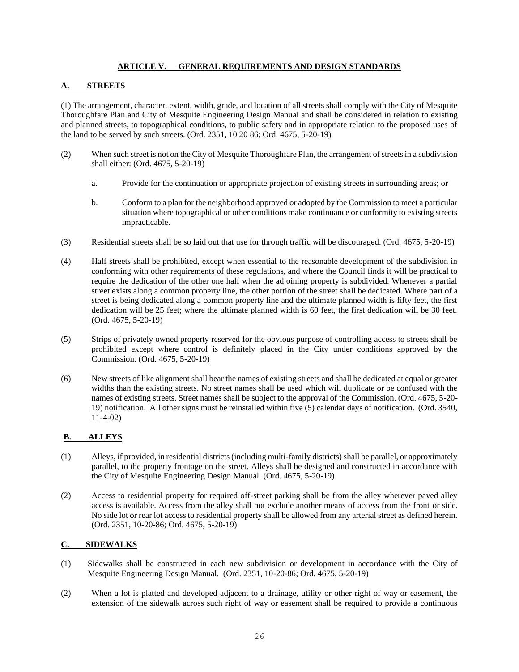# **ARTICLE V. GENERAL REQUIREMENTS AND DESIGN STANDARDS**

# **A. STREETS**

(1) The arrangement, character, extent, width, grade, and location of all streets shall comply with the City of Mesquite Thoroughfare Plan and City of Mesquite Engineering Design Manual and shall be considered in relation to existing and planned streets, to topographical conditions, to public safety and in appropriate relation to the proposed uses of the land to be served by such streets. (Ord. 2351, 10 20 86; Ord. 4675, 5-20-19)

- (2) When such street is not on the City of Mesquite Thoroughfare Plan, the arrangement of streets in a subdivision shall either: (Ord. 4675, 5-20-19)
	- a. Provide for the continuation or appropriate projection of existing streets in surrounding areas; or
	- b. Conform to a plan for the neighborhood approved or adopted by the Commission to meet a particular situation where topographical or other conditions make continuance or conformity to existing streets impracticable.
- (3) Residential streets shall be so laid out that use for through traffic will be discouraged. (Ord. 4675, 5-20-19)
- (4) Half streets shall be prohibited, except when essential to the reasonable development of the subdivision in conforming with other requirements of these regulations, and where the Council finds it will be practical to require the dedication of the other one half when the adjoining property is subdivided. Whenever a partial street exists along a common property line, the other portion of the street shall be dedicated. Where part of a street is being dedicated along a common property line and the ultimate planned width is fifty feet, the first dedication will be 25 feet; where the ultimate planned width is 60 feet, the first dedication will be 30 feet. (Ord. 4675, 5-20-19)
- (5) Strips of privately owned property reserved for the obvious purpose of controlling access to streets shall be prohibited except where control is definitely placed in the City under conditions approved by the Commission. (Ord. 4675, 5-20-19)
- (6) New streets of like alignment shall bear the names of existing streets and shall be dedicated at equal or greater widths than the existing streets. No street names shall be used which will duplicate or be confused with the names of existing streets. Street names shall be subject to the approval of the Commission. (Ord. 4675, 5-20- 19) notification. All other signs must be reinstalled within five (5) calendar days of notification. (Ord. 3540, 11-4-02)

# **B. ALLEYS**

- (1) Alleys, if provided, in residential districts (including multi-family districts) shall be parallel, or approximately parallel, to the property frontage on the street. Alleys shall be designed and constructed in accordance with the City of Mesquite Engineering Design Manual. (Ord. 4675, 5-20-19)
- (2) Access to residential property for required off-street parking shall be from the alley wherever paved alley access is available. Access from the alley shall not exclude another means of access from the front or side. No side lot or rear lot access to residential property shall be allowed from any arterial street as defined herein. (Ord. 2351, 10-20-86; Ord. 4675, 5-20-19)

# **C. SIDEWALKS**

- (1) Sidewalks shall be constructed in each new subdivision or development in accordance with the City of Mesquite Engineering Design Manual. (Ord. 2351, 10-20-86; Ord. 4675, 5-20-19)
- (2) When a lot is platted and developed adjacent to a drainage, utility or other right of way or easement, the extension of the sidewalk across such right of way or easement shall be required to provide a continuous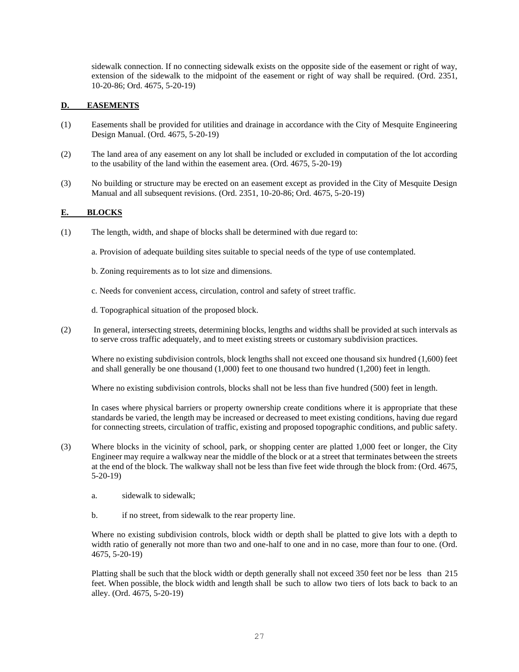sidewalk connection. If no connecting sidewalk exists on the opposite side of the easement or right of way, extension of the sidewalk to the midpoint of the easement or right of way shall be required. (Ord. 2351, 10-20-86; Ord. 4675, 5-20-19)

# **D. EASEMENTS**

- (1) Easements shall be provided for utilities and drainage in accordance with the City of Mesquite Engineering Design Manual. (Ord. 4675, 5-20-19)
- (2) The land area of any easement on any lot shall be included or excluded in computation of the lot according to the usability of the land within the easement area. (Ord. 4675, 5-20-19)
- (3) No building or structure may be erected on an easement except as provided in the City of Mesquite Design Manual and all subsequent revisions. (Ord. 2351, 10-20-86; Ord. 4675, 5-20-19)

# **E. BLOCKS**

- (1) The length, width, and shape of blocks shall be determined with due regard to:
	- a. Provision of adequate building sites suitable to special needs of the type of use contemplated.
	- b. Zoning requirements as to lot size and dimensions.
	- c. Needs for convenient access, circulation, control and safety of street traffic.

d. Topographical situation of the proposed block.

(2) In general, intersecting streets, determining blocks, lengths and widths shall be provided at such intervals as to serve cross traffic adequately, and to meet existing streets or customary subdivision practices.

Where no existing subdivision controls, block lengths shall not exceed one thousand six hundred (1,600) feet and shall generally be one thousand (1,000) feet to one thousand two hundred (1,200) feet in length.

Where no existing subdivision controls, blocks shall not be less than five hundred (500) feet in length.

In cases where physical barriers or property ownership create conditions where it is appropriate that these standards be varied, the length may be increased or decreased to meet existing conditions, having due regard for connecting streets, circulation of traffic, existing and proposed topographic conditions, and public safety.

- (3) Where blocks in the vicinity of school, park, or shopping center are platted 1,000 feet or longer, the City Engineer may require a walkway near the middle of the block or at a street that terminates between the streets at the end of the block. The walkway shall not be less than five feet wide through the block from: (Ord. 4675, 5-20-19)
	- a. sidewalk to sidewalk;
	- b. if no street, from sidewalk to the rear property line.

Where no existing subdivision controls, block width or depth shall be platted to give lots with a depth to width ratio of generally not more than two and one-half to one and in no case, more than four to one. (Ord. 4675, 5-20-19)

Platting shall be such that the block width or depth generally shall not exceed 350 feet nor be less than 215 feet. When possible, the block width and length shall be such to allow two tiers of lots back to back to an alley. (Ord. 4675, 5-20-19)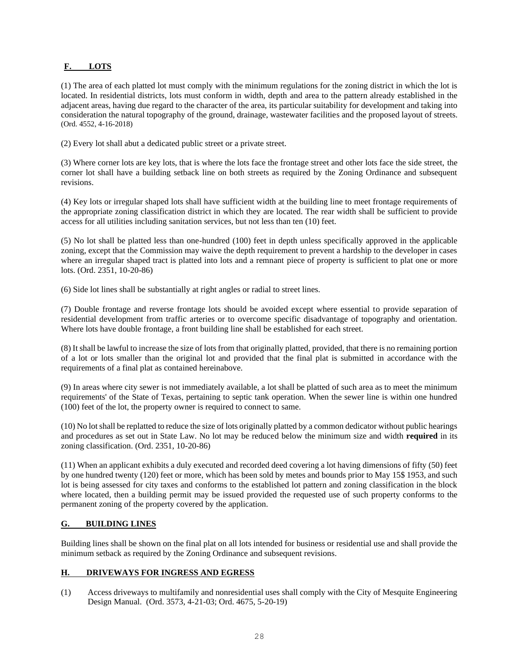# **F. LOTS**

(1) The area of each platted lot must comply with the minimum regulations for the zoning district in which the lot is located. In residential districts, lots must conform in width, depth and area to the pattern already established in the adjacent areas, having due regard to the character of the area, its particular suitability for development and taking into consideration the natural topography of the ground, drainage, wastewater facilities and the proposed layout of streets. (Ord. 4552, 4-16-2018)

(2) Every lot shall abut a dedicated public street or a private street.

(3) Where corner lots are key lots, that is where the lots face the frontage street and other lots face the side street, the corner lot shall have a building setback line on both streets as required by the Zoning Ordinance and subsequent revisions.

(4) Key lots or irregular shaped lots shall have sufficient width at the building line to meet frontage requirements of the appropriate zoning classification district in which they are located. The rear width shall be sufficient to provide access for all utilities including sanitation services, but not less than ten (10) feet.

(5) No lot shall be platted less than one-hundred (100) feet in depth unless specifically approved in the applicable zoning, except that the Commission may waive the depth requirement to prevent a hardship to the developer in cases where an irregular shaped tract is platted into lots and a remnant piece of property is sufficient to plat one or more lots. (Ord. 2351, 10-20-86)

(6) Side lot lines shall be substantially at right angles or radial to street lines.

(7) Double frontage and reverse frontage lots should be avoided except where essential to provide separation of residential development from traffic arteries or to overcome specific disadvantage of topography and orientation. Where lots have double frontage, a front building line shall be established for each street.

(8) It shall be lawful to increase the size of lots from that originally platted, provided, that there is no remaining portion of a lot or lots smaller than the original lot and provided that the final plat is submitted in accordance with the requirements of a final plat as contained hereinabove.

(9) In areas where city sewer is not immediately available, a lot shall be platted of such area as to meet the minimum requirements' of the State of Texas, pertaining to septic tank operation. When the sewer line is within one hundred (100) feet of the lot, the property owner is required to connect to same.

(10) No lot shall be replatted to reduce the size of lots originally platted by a common dedicator without public hearings and procedures as set out in State Law. No lot may be reduced below the minimum size and width **required** in its zoning classification. (Ord. 2351, 10-20-86)

(11) When an applicant exhibits a duly executed and recorded deed covering a lot having dimensions of fifty (50) feet by one hundred twenty (120) feet or more, which has been sold by metes and bounds prior to May 15\$ 1953, and such lot is being assessed for city taxes and conforms to the established lot pattern and zoning classification in the block where located, then a building permit may be issued provided the requested use of such property conforms to the permanent zoning of the property covered by the application.

# **G. BUILDING LINES**

Building lines shall be shown on the final plat on all lots intended for business or residential use and shall provide the minimum setback as required by the Zoning Ordinance and subsequent revisions.

# **H. DRIVEWAYS FOR INGRESS AND EGRESS**

(1) Access driveways to multifamily and nonresidential uses shall comply with the City of Mesquite Engineering Design Manual. (Ord. 3573, 4-21-03; Ord. 4675, 5-20-19)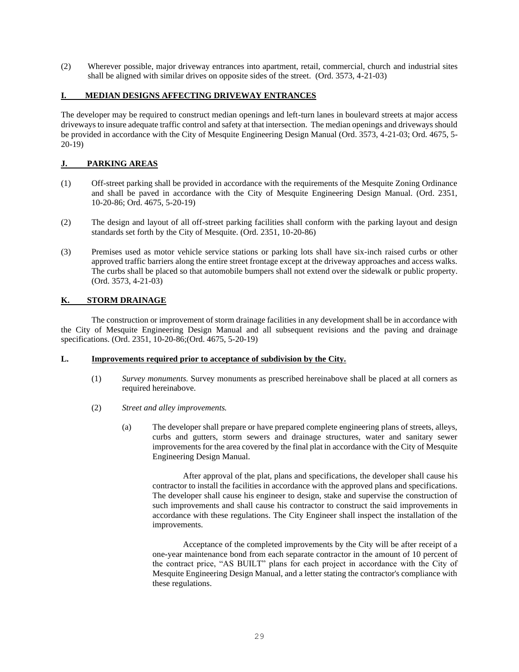(2) Wherever possible, major driveway entrances into apartment, retail, commercial, church and industrial sites shall be aligned with similar drives on opposite sides of the street. (Ord. 3573, 4-21-03)

# **I. MEDIAN DESIGNS AFFECTING DRIVEWAY ENTRANCES**

The developer may be required to construct median openings and left-turn lanes in boulevard streets at major access driveways to insure adequate traffic control and safety at that intersection. The median openings and driveways should be provided in accordance with the City of Mesquite Engineering Design Manual (Ord. 3573, 4-21-03; Ord. 4675, 5- 20-19)

# **J. PARKING AREAS**

- (1) Off-street parking shall be provided in accordance with the requirements of the Mesquite Zoning Ordinance and shall be paved in accordance with the City of Mesquite Engineering Design Manual. (Ord. 2351, 10-20-86; Ord. 4675, 5-20-19)
- (2) The design and layout of all off-street parking facilities shall conform with the parking layout and design standards set forth by the City of Mesquite. (Ord. 2351, 10-20-86)
- (3) Premises used as motor vehicle service stations or parking lots shall have six-inch raised curbs or other approved traffic barriers along the entire street frontage except at the driveway approaches and access walks. The curbs shall be placed so that automobile bumpers shall not extend over the sidewalk or public property. (Ord. 3573, 4-21-03)

# **K. STORM DRAINAGE**

The construction or improvement of storm drainage facilities in any development shall be in accordance with the City of Mesquite Engineering Design Manual and all subsequent revisions and the paving and drainage specifications. (Ord. 2351, 10-20-86;(Ord. 4675, 5-20-19)

# **L. Improvements required prior to acceptance of subdivision by the City.**

- (1) *Survey monuments.* Survey monuments as prescribed hereinabove shall be placed at all corners as required hereinabove.
- (2) *Street and alley improvements.* 
	- (a) The developer shall prepare or have prepared complete engineering plans of streets, alleys, curbs and gutters, storm sewers and drainage structures, water and sanitary sewer improvements for the area covered by the final plat in accordance with the City of Mesquite Engineering Design Manual.

After approval of the plat, plans and specifications, the developer shall cause his contractor to install the facilities in accordance with the approved plans and specifications. The developer shall cause his engineer to design, stake and supervise the construction of such improvements and shall cause his contractor to construct the said improvements in accordance with these regulations. The City Engineer shall inspect the installation of the improvements.

Acceptance of the completed improvements by the City will be after receipt of a one-year maintenance bond from each separate contractor in the amount of 10 percent of the contract price, "AS BUILT" plans for each project in accordance with the City of Mesquite Engineering Design Manual, and a letter stating the contractor's compliance with these regulations.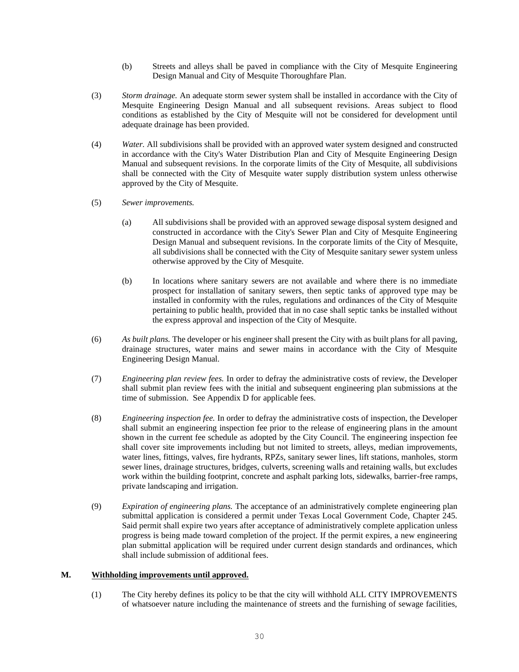- (b) Streets and alleys shall be paved in compliance with the City of Mesquite Engineering Design Manual and City of Mesquite Thoroughfare Plan.
- (3) *Storm drainage.* An adequate storm sewer system shall be installed in accordance with the City of Mesquite Engineering Design Manual and all subsequent revisions. Areas subject to flood conditions as established by the City of Mesquite will not be considered for development until adequate drainage has been provided.
- (4) *Water.* All subdivisions shall be provided with an approved water system designed and constructed in accordance with the City's Water Distribution Plan and City of Mesquite Engineering Design Manual and subsequent revisions. In the corporate limits of the City of Mesquite, all subdivisions shall be connected with the City of Mesquite water supply distribution system unless otherwise approved by the City of Mesquite.
- (5) *Sewer improvements.* 
	- (a) All subdivisions shall be provided with an approved sewage disposal system designed and constructed in accordance with the City's Sewer Plan and City of Mesquite Engineering Design Manual and subsequent revisions. In the corporate limits of the City of Mesquite, all subdivisions shall be connected with the City of Mesquite sanitary sewer system unless otherwise approved by the City of Mesquite.
	- (b) In locations where sanitary sewers are not available and where there is no immediate prospect for installation of sanitary sewers, then septic tanks of approved type may be installed in conformity with the rules, regulations and ordinances of the City of Mesquite pertaining to public health, provided that in no case shall septic tanks be installed without the express approval and inspection of the City of Mesquite.
- (6) *As built plans.* The developer or his engineer shall present the City with as built plans for all paving, drainage structures, water mains and sewer mains in accordance with the City of Mesquite Engineering Design Manual.
- (7) *Engineering plan review fees.* In order to defray the administrative costs of review, the Developer shall submit plan review fees with the initial and subsequent engineering plan submissions at the time of submission. See Appendix D for applicable fees.
- (8) *Engineering inspection fee.* In order to defray the administrative costs of inspection, the Developer shall submit an engineering inspection fee prior to the release of engineering plans in the amount shown in the current fee schedule as adopted by the City Council. The engineering inspection fee shall cover site improvements including but not limited to streets, alleys, median improvements, water lines, fittings, valves, fire hydrants, RPZs, sanitary sewer lines, lift stations, manholes, storm sewer lines, drainage structures, bridges, culverts, screening walls and retaining walls, but excludes work within the building footprint, concrete and asphalt parking lots, sidewalks, barrier-free ramps, private landscaping and irrigation.
- (9) *Expiration of engineering plans.* The acceptance of an administratively complete engineering plan submittal application is considered a permit under Texas Local Government Code, Chapter 245. Said permit shall expire two years after acceptance of administratively complete application unless progress is being made toward completion of the project. If the permit expires, a new engineering plan submittal application will be required under current design standards and ordinances, which shall include submission of additional fees.

#### **M. Withholding improvements until approved.**

(1) The City hereby defines its policy to be that the city will withhold ALL CITY IMPROVEMENTS of whatsoever nature including the maintenance of streets and the furnishing of sewage facilities,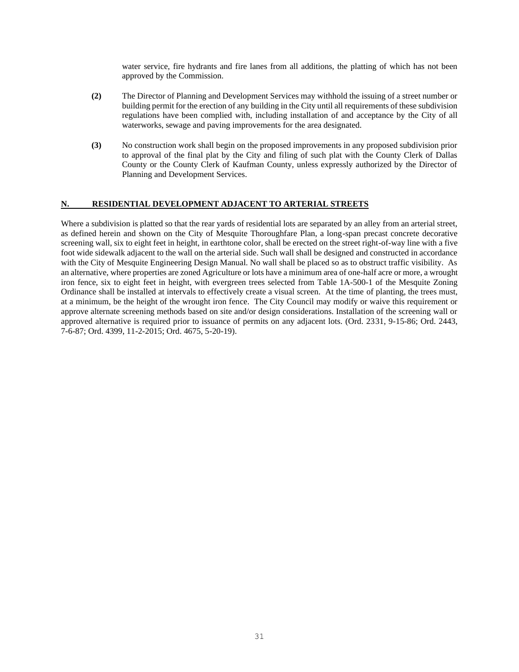water service, fire hydrants and fire lanes from all additions, the platting of which has not been approved by the Commission.

- **(2)** The Director of Planning and Development Services may withhold the issuing of a street number or building permit for the erection of any building in the City until all requirements of these subdivision regulations have been complied with, including installation of and acceptance by the City of all waterworks, sewage and paving improvements for the area designated.
- **(3)** No construction work shall begin on the proposed improvements in any proposed subdivision prior to approval of the final plat by the City and filing of such plat with the County Clerk of Dallas County or the County Clerk of Kaufman County, unless expressly authorized by the Director of Planning and Development Services.

#### **N. RESIDENTIAL DEVELOPMENT ADJACENT TO ARTERIAL STREETS**

Where a subdivision is platted so that the rear yards of residential lots are separated by an alley from an arterial street, as defined herein and shown on the City of Mesquite Thoroughfare Plan, a long-span precast concrete decorative screening wall, six to eight feet in height, in earthtone color, shall be erected on the street right-of-way line with a five foot wide sidewalk adjacent to the wall on the arterial side. Such wall shall be designed and constructed in accordance with the City of Mesquite Engineering Design Manual. No wall shall be placed so as to obstruct traffic visibility. As an alternative, where properties are zoned Agriculture or lots have a minimum area of one-half acre or more, a wrought iron fence, six to eight feet in height, with evergreen trees selected from Table 1A-500-1 of the Mesquite Zoning Ordinance shall be installed at intervals to effectively create a visual screen. At the time of planting, the trees must, at a minimum, be the height of the wrought iron fence. The City Council may modify or waive this requirement or approve alternate screening methods based on site and/or design considerations. Installation of the screening wall or approved alternative is required prior to issuance of permits on any adjacent lots. (Ord. 2331, 9-15-86; Ord. 2443, 7-6-87; Ord. 4399, 11-2-2015; Ord. 4675, 5-20-19).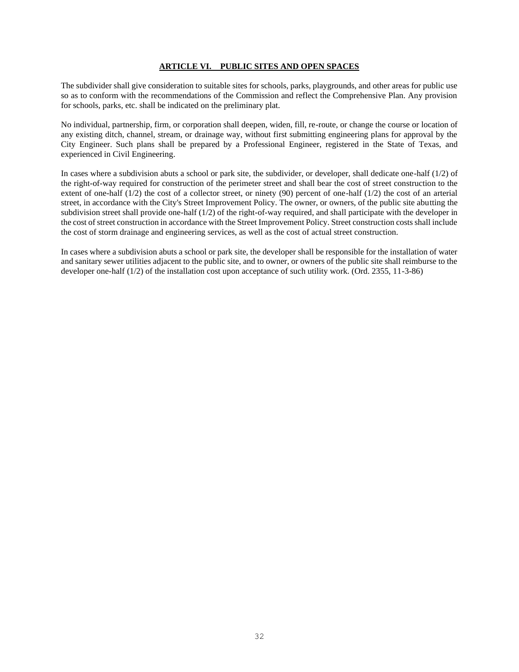#### **ARTICLE VI. PUBLIC SITES AND OPEN SPACES**

The subdivider shall give consideration to suitable sites for schools, parks, playgrounds, and other areas for public use so as to conform with the recommendations of the Commission and reflect the Comprehensive Plan. Any provision for schools, parks, etc. shall be indicated on the preliminary plat.

No individual, partnership, firm, or corporation shall deepen, widen, fill, re-route, or change the course or location of any existing ditch, channel, stream, or drainage way, without first submitting engineering plans for approval by the City Engineer. Such plans shall be prepared by a Professional Engineer, registered in the State of Texas, and experienced in Civil Engineering.

In cases where a subdivision abuts a school or park site, the subdivider, or developer, shall dedicate one-half (1/2) of the right-of-way required for construction of the perimeter street and shall bear the cost of street construction to the extent of one-half  $(1/2)$  the cost of a collector street, or ninety  $(90)$  percent of one-half  $(1/2)$  the cost of an arterial street, in accordance with the City's Street Improvement Policy. The owner, or owners, of the public site abutting the subdivision street shall provide one-half  $(1/2)$  of the right-of-way required, and shall participate with the developer in the cost of street construction in accordance with the Street Improvement Policy. Street construction costs shall include the cost of storm drainage and engineering services, as well as the cost of actual street construction.

In cases where a subdivision abuts a school or park site, the developer shall be responsible for the installation of water and sanitary sewer utilities adjacent to the public site, and to owner, or owners of the public site shall reimburse to the developer one-half (1/2) of the installation cost upon acceptance of such utility work. (Ord. 2355, 11-3-86)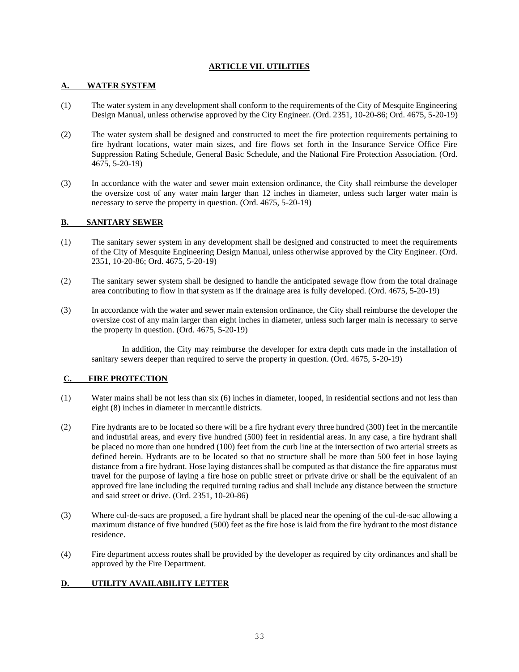#### **ARTICLE VII. UTILITIES**

#### **A. WATER SYSTEM**

- (1) The water system in any development shall conform to the requirements of the City of Mesquite Engineering Design Manual, unless otherwise approved by the City Engineer. (Ord. 2351, 10-20-86; Ord. 4675, 5-20-19)
- (2) The water system shall be designed and constructed to meet the fire protection requirements pertaining to fire hydrant locations, water main sizes, and fire flows set forth in the Insurance Service Office Fire Suppression Rating Schedule, General Basic Schedule, and the National Fire Protection Association. (Ord. 4675, 5-20-19)
- (3) In accordance with the water and sewer main extension ordinance, the City shall reimburse the developer the oversize cost of any water main larger than 12 inches in diameter, unless such larger water main is necessary to serve the property in question. (Ord. 4675, 5-20-19)

#### **B. SANITARY SEWER**

- (1) The sanitary sewer system in any development shall be designed and constructed to meet the requirements of the City of Mesquite Engineering Design Manual, unless otherwise approved by the City Engineer. (Ord. 2351, 10-20-86; Ord. 4675, 5-20-19)
- (2) The sanitary sewer system shall be designed to handle the anticipated sewage flow from the total drainage area contributing to flow in that system as if the drainage area is fully developed. (Ord. 4675, 5-20-19)
- (3) In accordance with the water and sewer main extension ordinance, the City shall reimburse the developer the oversize cost of any main larger than eight inches in diameter, unless such larger main is necessary to serve the property in question. (Ord. 4675, 5-20-19)

In addition, the City may reimburse the developer for extra depth cuts made in the installation of sanitary sewers deeper than required to serve the property in question. (Ord. 4675, 5-20-19)

# **C. FIRE PROTECTION**

- (1) Water mains shall be not less than six (6) inches in diameter, looped, in residential sections and not less than eight (8) inches in diameter in mercantile districts.
- (2) Fire hydrants are to be located so there will be a fire hydrant every three hundred (300) feet in the mercantile and industrial areas, and every five hundred (500) feet in residential areas. In any case, a fire hydrant shall be placed no more than one hundred (100) feet from the curb line at the intersection of two arterial streets as defined herein. Hydrants are to be located so that no structure shall be more than 500 feet in hose laying distance from a fire hydrant. Hose laying distances shall be computed as that distance the fire apparatus must travel for the purpose of laying a fire hose on public street or private drive or shall be the equivalent of an approved fire lane including the required turning radius and shall include any distance between the structure and said street or drive. (Ord. 2351, 10-20-86)
- (3) Where cul-de-sacs are proposed, a fire hydrant shall be placed near the opening of the cul-de-sac allowing a maximum distance of five hundred (500) feet as the fire hose is laid from the fire hydrant to the most distance residence.
- (4) Fire department access routes shall be provided by the developer as required by city ordinances and shall be approved by the Fire Department.

# **D. UTILITY AVAILABILITY LETTER**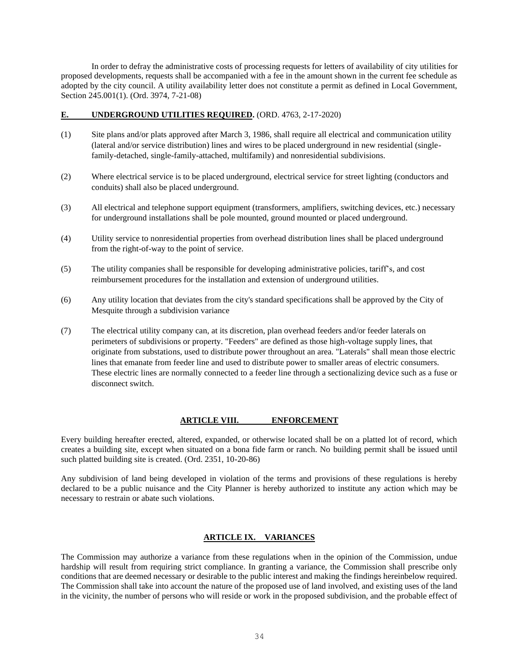In order to defray the administrative costs of processing requests for letters of availability of city utilities for proposed developments, requests shall be accompanied with a fee in the amount shown in the current fee schedule as adopted by the city council. A utility availability letter does not constitute a permit as defined in Local Government, Section 245.001(1). (Ord. 3974, 7-21-08)

#### **E. UNDERGROUND UTILITIES REQUIRED.** (ORD. 4763, 2-17-2020)

- (1) Site plans and/or plats approved after March 3, 1986, shall require all electrical and communication utility (lateral and/or service distribution) lines and wires to be placed underground in new residential (singlefamily-detached, single-family-attached, multifamily) and nonresidential subdivisions.
- (2) Where electrical service is to be placed underground, electrical service for street lighting (conductors and conduits) shall also be placed underground.
- (3) All electrical and telephone support equipment (transformers, amplifiers, switching devices, etc.) necessary for underground installations shall be pole mounted, ground mounted or placed underground.
- (4) Utility service to nonresidential properties from overhead distribution lines shall be placed underground from the right-of-way to the point of service.
- (5) The utility companies shall be responsible for developing administrative policies, tariff's, and cost reimbursement procedures for the installation and extension of underground utilities.
- (6) Any utility location that deviates from the city's standard specifications shall be approved by the City of Mesquite through a subdivision variance
- (7) The electrical utility company can, at its discretion, plan overhead feeders and/or feeder laterals on perimeters of subdivisions or property. "Feeders" are defined as those high-voltage supply lines, that originate from substations, used to distribute power throughout an area. "Laterals" shall mean those electric lines that emanate from feeder line and used to distribute power to smaller areas of electric consumers. These electric lines are normally connected to a feeder line through a sectionalizing device such as a fuse or disconnect switch.

#### **ARTICLE VIII. ENFORCEMENT**

Every building hereafter erected, altered, expanded, or otherwise located shall be on a platted lot of record, which creates a building site, except when situated on a bona fide farm or ranch. No building permit shall be issued until such platted building site is created. (Ord. 2351, 10-20-86)

Any subdivision of land being developed in violation of the terms and provisions of these regulations is hereby declared to be a public nuisance and the City Planner is hereby authorized to institute any action which may be necessary to restrain or abate such violations.

# **ARTICLE IX. VARIANCES**

The Commission may authorize a variance from these regulations when in the opinion of the Commission, undue hardship will result from requiring strict compliance. In granting a variance, the Commission shall prescribe only conditions that are deemed necessary or desirable to the public interest and making the findings hereinbelow required. The Commission shall take into account the nature of the proposed use of land involved, and existing uses of the land in the vicinity, the number of persons who will reside or work in the proposed subdivision, and the probable effect of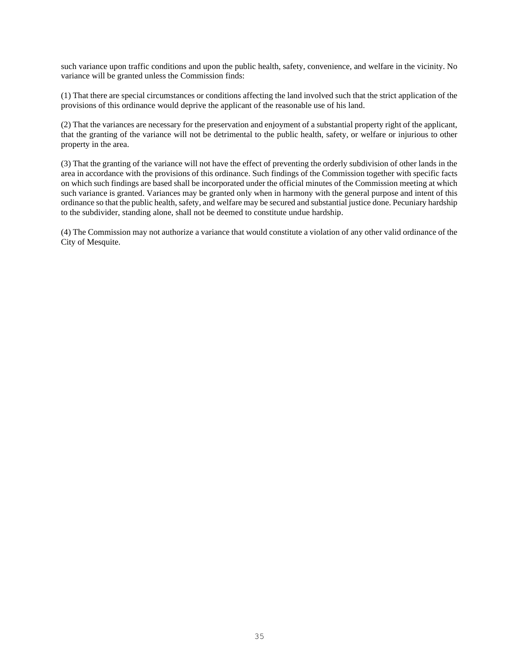such variance upon traffic conditions and upon the public health, safety, convenience, and welfare in the vicinity. No variance will be granted unless the Commission finds:

(1) That there are special circumstances or conditions affecting the land involved such that the strict application of the provisions of this ordinance would deprive the applicant of the reasonable use of his land.

(2) That the variances are necessary for the preservation and enjoyment of a substantial property right of the applicant, that the granting of the variance will not be detrimental to the public health, safety, or welfare or injurious to other property in the area.

(3) That the granting of the variance will not have the effect of preventing the orderly subdivision of other lands in the area in accordance with the provisions of this ordinance. Such findings of the Commission together with specific facts on which such findings are based shall be incorporated under the official minutes of the Commission meeting at which such variance is granted. Variances may be granted only when in harmony with the general purpose and intent of this ordinance so that the public health, safety, and welfare may be secured and substantial justice done. Pecuniary hardship to the subdivider, standing alone, shall not be deemed to constitute undue hardship.

(4) The Commission may not authorize a variance that would constitute a violation of any other valid ordinance of the City of Mesquite.